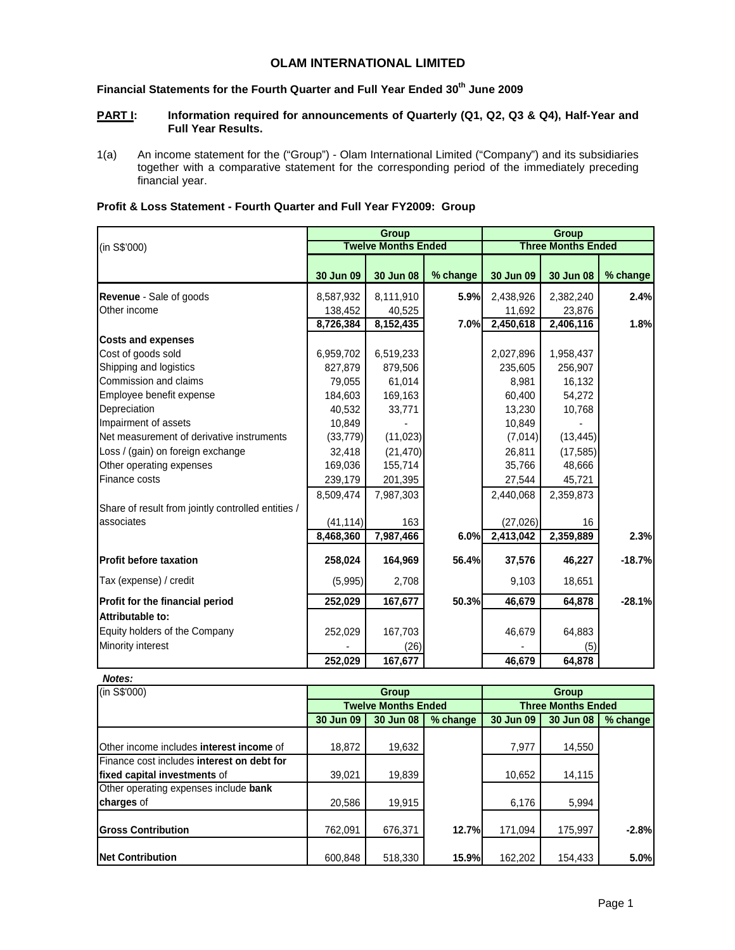# **OLAM INTERNATIONAL LIMITED**

# **Financial Statements for the Fourth Quarter and Full Year Ended 30th June 2009**

## **PART I:** Information required for announcements of Quarterly (Q1, Q2, Q3 & Q4), Half-Year and **Full Year Results.**

1(a) An income statement for the ("Group") - Olam International Limited ("Company") and its subsidiaries together with a comparative statement for the corresponding period of the immediately preceding financial year.

| Profit & Loss Statement - Fourth Quarter and Full Year FY2009: Group |  |  |
|----------------------------------------------------------------------|--|--|
|----------------------------------------------------------------------|--|--|

|                                                    |           | Group                      |          | <b>Group</b> |                           |          |  |
|----------------------------------------------------|-----------|----------------------------|----------|--------------|---------------------------|----------|--|
| (in S\$'000)                                       |           | <b>Twelve Months Ended</b> |          |              | <b>Three Months Ended</b> |          |  |
|                                                    | 30 Jun 09 | 30 Jun 08                  | % change | 30 Jun 09    | 30 Jun 08                 | % change |  |
| Revenue - Sale of goods                            | 8,587,932 | 8,111,910                  | 5.9%     | 2,438,926    | 2,382,240                 | 2.4%     |  |
| Other income                                       | 138,452   | 40,525                     |          | 11,692       | 23,876                    |          |  |
|                                                    | 8,726,384 | 8,152,435                  | 7.0%     | 2,450,618    | 2,406,116                 | 1.8%     |  |
| <b>Costs and expenses</b>                          |           |                            |          |              |                           |          |  |
| Cost of goods sold                                 | 6,959,702 | 6,519,233                  |          | 2,027,896    | 1,958,437                 |          |  |
| Shipping and logistics                             | 827,879   | 879,506                    |          | 235,605      | 256,907                   |          |  |
| Commission and claims                              | 79,055    | 61,014                     |          | 8,981        | 16,132                    |          |  |
| Employee benefit expense                           | 184,603   | 169,163                    |          | 60,400       | 54,272                    |          |  |
| Depreciation                                       | 40,532    | 33,771                     |          | 13,230       | 10,768                    |          |  |
| Impairment of assets                               | 10,849    |                            |          | 10,849       |                           |          |  |
| Net measurement of derivative instruments          | (33, 779) | (11, 023)                  |          | (7,014)      | (13, 445)                 |          |  |
| Loss / (gain) on foreign exchange                  | 32,418    | (21, 470)                  |          | 26,811       | (17, 585)                 |          |  |
| Other operating expenses                           | 169,036   | 155,714                    |          | 35,766       | 48,666                    |          |  |
| Finance costs                                      | 239,179   | 201,395                    |          | 27,544       | 45,721                    |          |  |
|                                                    | 8,509,474 | 7,987,303                  |          | 2,440,068    | 2,359,873                 |          |  |
| Share of result from jointly controlled entities / |           |                            |          |              |                           |          |  |
| associates                                         | (41, 114) | 163                        |          | (27, 026)    | 16                        |          |  |
|                                                    | 8,468,360 | 7,987,466                  | 6.0%     | 2,413,042    | 2,359,889                 | 2.3%     |  |
| <b>Profit before taxation</b>                      | 258,024   | 164,969                    | 56.4%    | 37,576       | 46,227                    | $-18.7%$ |  |
| Tax (expense) / credit                             | (5,995)   | 2,708                      |          | 9,103        | 18,651                    |          |  |
| Profit for the financial period                    | 252,029   | 167,677                    | 50.3%    | 46,679       | 64,878                    | $-28.1%$ |  |
| Attributable to:                                   |           |                            |          |              |                           |          |  |
| Equity holders of the Company                      | 252,029   | 167,703                    |          | 46,679       | 64,883                    |          |  |
| Minority interest                                  |           | (26)                       |          |              | (5)                       |          |  |
|                                                    | 252,029   | 167,677                    |          | 46,679       | 64,878                    |          |  |

#### **Notes:**

| (in S\$'000)                               |           | Group                      |          | <b>Group</b>              |           |          |  |
|--------------------------------------------|-----------|----------------------------|----------|---------------------------|-----------|----------|--|
|                                            |           | <b>Twelve Months Ended</b> |          | <b>Three Months Ended</b> |           |          |  |
|                                            | 30 Jun 09 | 30 Jun 08                  | % change | 30 Jun 09                 | 30 Jun 08 | % change |  |
|                                            |           |                            |          |                           |           |          |  |
| Other income includes interest income of   | 18,872    | 19,632                     |          | 7,977                     | 14,550    |          |  |
| Finance cost includes interest on debt for |           |                            |          |                           |           |          |  |
| fixed capital investments of               | 39,021    | 19,839                     |          | 10,652                    | 14,115    |          |  |
| Other operating expenses include bank      |           |                            |          |                           |           |          |  |
| charges of                                 | 20,586    | 19,915                     |          | 6,176                     | 5,994     |          |  |
|                                            |           |                            |          |                           |           |          |  |
| <b>IGross Contribution</b>                 | 762.091   | 676,371                    | 12.7%    | 171,094                   | 175,997   | $-2.8%$  |  |
|                                            |           |                            |          |                           |           |          |  |
| <b>Net Contribution</b>                    | 600.848   | 518,330                    | 15.9%    | 162,202                   | 154,433   | 5.0%     |  |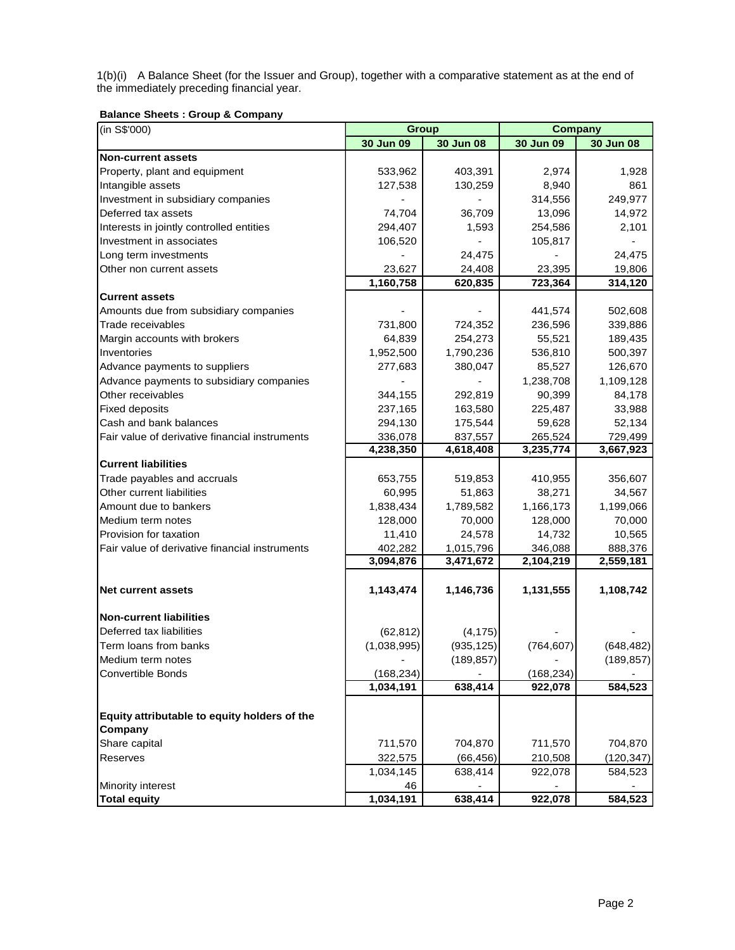1(b)(i) A Balance Sheet (for the Issuer and Group), together with a comparative statement as at the end of the immediately preceding financial year.

# **Balance Sheets : Group & Company**

| (in S\$'000)                                   | <b>Group</b> | <b>Company</b> |            |            |
|------------------------------------------------|--------------|----------------|------------|------------|
|                                                | 30 Jun 09    | 30 Jun 08      | 30 Jun 09  | 30 Jun 08  |
| <b>Non-current assets</b>                      |              |                |            |            |
| Property, plant and equipment                  | 533,962      | 403,391        | 2,974      | 1,928      |
| Intangible assets                              | 127,538      | 130,259        | 8,940      | 861        |
| Investment in subsidiary companies             |              |                | 314,556    | 249,977    |
| Deferred tax assets                            | 74,704       | 36,709         | 13,096     | 14,972     |
| Interests in jointly controlled entities       | 294,407      | 1,593          | 254,586    | 2,101      |
| Investment in associates                       | 106,520      |                | 105,817    |            |
| Long term investments                          |              | 24,475         |            | 24,475     |
| Other non current assets                       | 23,627       | 24,408         | 23,395     | 19,806     |
|                                                | 1,160,758    | 620,835        | 723,364    | 314,120    |
| <b>Current assets</b>                          |              |                |            |            |
| Amounts due from subsidiary companies          |              |                | 441,574    | 502,608    |
| Trade receivables                              | 731,800      | 724,352        | 236,596    | 339,886    |
| Margin accounts with brokers                   | 64,839       | 254,273        | 55,521     | 189,435    |
| Inventories                                    | 1,952,500    | 1,790,236      | 536,810    | 500,397    |
| Advance payments to suppliers                  | 277,683      | 380,047        | 85,527     | 126,670    |
| Advance payments to subsidiary companies       |              |                | 1,238,708  | 1,109,128  |
| Other receivables                              | 344,155      | 292,819        | 90,399     | 84,178     |
| <b>Fixed deposits</b>                          | 237,165      | 163,580        | 225,487    | 33,988     |
| Cash and bank balances                         | 294,130      | 175,544        | 59,628     | 52,134     |
| Fair value of derivative financial instruments | 336,078      | 837,557        | 265,524    | 729,499    |
|                                                | 4,238,350    | 4,618,408      | 3,235,774  | 3,667,923  |
| <b>Current liabilities</b>                     |              |                |            |            |
| Trade payables and accruals                    | 653,755      | 519,853        | 410,955    | 356,607    |
| Other current liabilities                      | 60,995       | 51,863         | 38,271     | 34,567     |
| Amount due to bankers                          | 1,838,434    | 1,789,582      | 1,166,173  | 1,199,066  |
| Medium term notes                              | 128,000      | 70,000         | 128,000    | 70,000     |
| Provision for taxation                         | 11,410       | 24,578         | 14,732     | 10,565     |
| Fair value of derivative financial instruments | 402,282      | 1,015,796      | 346,088    | 888,376    |
|                                                | 3,094,876    | 3,471,672      | 2,104,219  | 2,559,181  |
| <b>Net current assets</b>                      | 1,143,474    | 1,146,736      | 1,131,555  | 1,108,742  |
|                                                |              |                |            |            |
| <b>Non-current liabilities</b>                 |              |                |            |            |
| Deferred tax liabilities                       | (62, 812)    | (4, 175)       |            |            |
| Term loans from banks                          | (1,038,995)  | (935, 125)     | (764, 607) | (648, 482) |
| Medium term notes                              |              | (189, 857)     |            | (189, 857) |
| <b>Convertible Bonds</b>                       | (168, 234)   |                | (168, 234) |            |
|                                                | 1,034,191    | 638,414        | 922,078    | 584,523    |
|                                                |              |                |            |            |
| Equity attributable to equity holders of the   |              |                |            |            |
| Company                                        |              |                |            |            |
| Share capital                                  | 711,570      | 704,870        | 711,570    | 704,870    |
| Reserves                                       | 322,575      | (66, 456)      | 210,508    | (120, 347) |
|                                                | 1,034,145    | 638,414        | 922,078    | 584,523    |
| Minority interest                              | 46           |                |            |            |
| <b>Total equity</b>                            | 1,034,191    | 638,414        | 922,078    | 584,523    |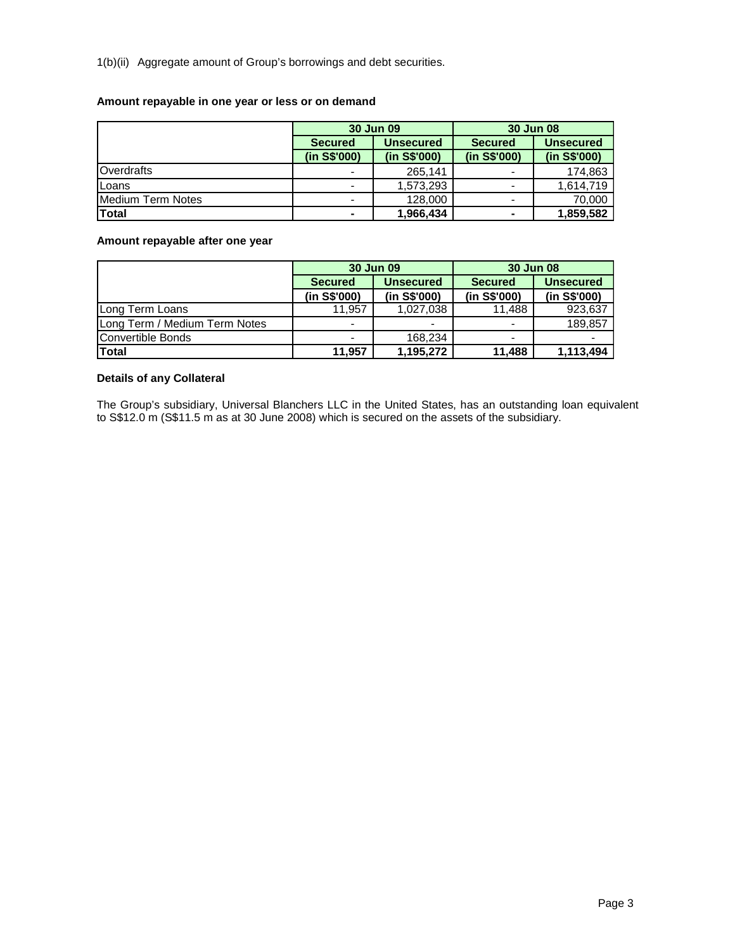1(b)(ii) Aggregate amount of Group's borrowings and debt securities.

## **Amount repayable in one year or less or on demand**

|                     |                | 30 Jun 09        | 30 Jun 08                |                  |  |  |
|---------------------|----------------|------------------|--------------------------|------------------|--|--|
|                     | <b>Secured</b> | <b>Unsecured</b> | <b>Secured</b>           | <b>Unsecured</b> |  |  |
|                     | (in S\$'000)   | (in S\$'000)     | (in S\$'000)             | (in S\$'000)     |  |  |
| <b>I</b> Overdrafts |                | 265,141          |                          | 174.863          |  |  |
| Loans               |                | 1,573,293        | $\overline{\phantom{0}}$ | 1.614.719        |  |  |
| Medium Term Notes   |                | 128,000          | $\overline{\phantom{0}}$ | 70,000           |  |  |
| <b>Total</b>        | ۰              | 1,966,434        | ۰                        | 1,859,582        |  |  |

# **Amount repayable after one year**

|                               |                | 30 Jun 09                | 30 Jun 08                |                  |  |  |
|-------------------------------|----------------|--------------------------|--------------------------|------------------|--|--|
|                               | <b>Secured</b> | <b>Unsecured</b>         | <b>Secured</b>           | <b>Unsecured</b> |  |  |
|                               | (in S\$'000)   | (in S\$'000)             | (in S\$'000)             | (in S\$'000)     |  |  |
| Long Term Loans               | 11,957         | 1,027,038                | 11.488                   | 923,637          |  |  |
| Long Term / Medium Term Notes | -              | $\overline{\phantom{a}}$ | $\overline{\phantom{0}}$ | 189,857          |  |  |
| Convertible Bonds             |                | 168.234                  |                          |                  |  |  |
| <b>Total</b>                  | 11,957         | 1,195,272                | 11.488                   | 1,113,494        |  |  |

# **Details of any Collateral**

The Group's subsidiary, Universal Blanchers LLC in the United States, has an outstanding loan equivalent to S\$12.0 m (S\$11.5 m as at 30 June 2008) which is secured on the assets of the subsidiary.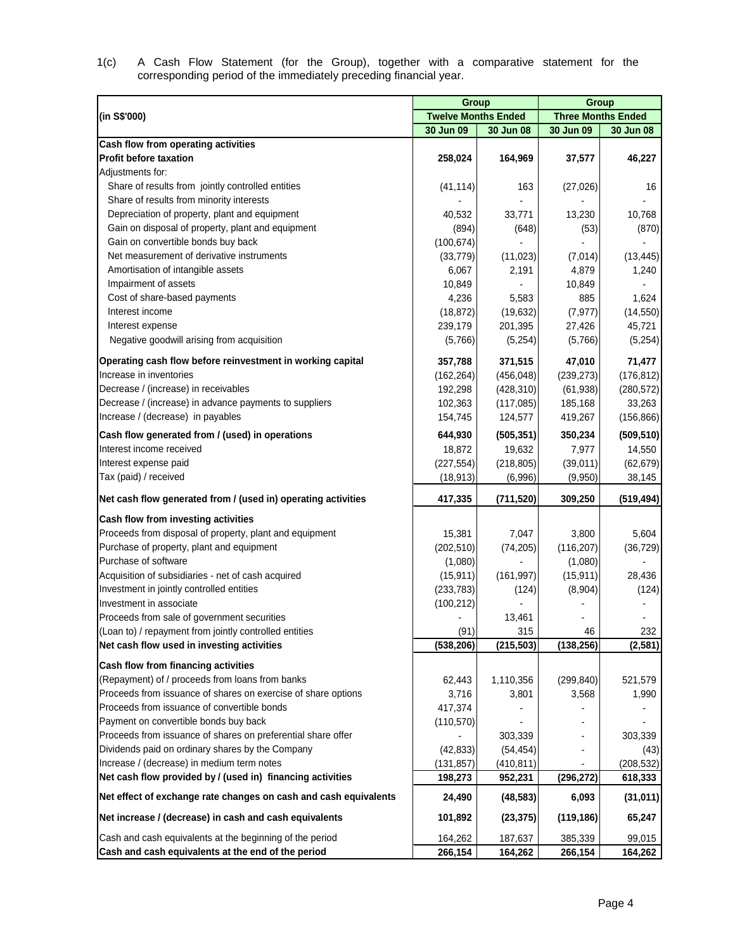| 1(c) |  |                                                                   |  |  |  | A Cash Flow Statement (for the Group), together with a comparative statement for the |  |  |
|------|--|-------------------------------------------------------------------|--|--|--|--------------------------------------------------------------------------------------|--|--|
|      |  | corresponding period of the immediately preceding financial year. |  |  |  |                                                                                      |  |  |

|                                                                  | Group                      |            | <b>Group</b>              |            |
|------------------------------------------------------------------|----------------------------|------------|---------------------------|------------|
| (in S\$'000)                                                     | <b>Twelve Months Ended</b> |            | <b>Three Months Ended</b> |            |
|                                                                  | 30 Jun 09                  | 30 Jun 08  | 30 Jun 09                 | 30 Jun 08  |
| Cash flow from operating activities                              |                            |            |                           |            |
| <b>Profit before taxation</b>                                    | 258,024                    | 164,969    | 37,577                    | 46,227     |
| Adjustments for:                                                 |                            |            |                           |            |
| Share of results from jointly controlled entities                | (41, 114)                  | 163        | (27, 026)                 | 16         |
| Share of results from minority interests                         |                            |            |                           |            |
| Depreciation of property, plant and equipment                    | 40,532                     | 33,771     | 13,230                    | 10,768     |
| Gain on disposal of property, plant and equipment                | (894)                      | (648)      | (53)                      | (870)      |
| Gain on convertible bonds buy back                               | (100, 674)                 |            |                           |            |
| Net measurement of derivative instruments                        | (33, 779)                  | (11, 023)  | (7,014)                   | (13, 445)  |
| Amortisation of intangible assets                                | 6,067                      | 2,191      | 4,879                     | 1,240      |
| Impairment of assets                                             | 10,849                     |            | 10,849                    |            |
| Cost of share-based payments                                     | 4,236                      | 5,583      | 885                       | 1,624      |
| Interest income                                                  | (18, 872)                  | (19, 632)  | (7, 977)                  | (14, 550)  |
| Interest expense                                                 | 239,179                    | 201,395    | 27,426                    | 45,721     |
| Negative goodwill arising from acquisition                       | (5,766)                    | (5,254)    | (5,766)                   | (5,254)    |
| Operating cash flow before reinvestment in working capital       | 357,788                    | 371,515    | 47,010                    | 71,477     |
| Increase in inventories                                          | (162, 264)                 | (456, 048) | (239, 273)                | (176, 812) |
| Decrease / (increase) in receivables                             | 192,298                    | (428, 310) | (61, 938)                 | (280, 572) |
| Decrease / (increase) in advance payments to suppliers           | 102,363                    | (117, 085) | 185,168                   | 33,263     |
| Increase / (decrease) in payables                                | 154,745                    | 124,577    | 419,267                   | (156, 866) |
| Cash flow generated from / (used) in operations                  | 644,930                    | (505, 351) | 350,234                   | (509, 510) |
| Interest income received                                         | 18,872                     | 19,632     | 7,977                     | 14,550     |
| Interest expense paid                                            | (227, 554)                 | (218, 805) | (39,011)                  | (62, 679)  |
| Tax (paid) / received                                            | (18, 913)                  | (6,996)    | (9,950)                   | 38,145     |
| Net cash flow generated from / (used in) operating activities    | 417,335                    | (711, 520) | 309,250                   | (519, 494) |
| Cash flow from investing activities                              |                            |            |                           |            |
| Proceeds from disposal of property, plant and equipment          | 15,381                     | 7,047      | 3,800                     | 5,604      |
| Purchase of property, plant and equipment                        | (202, 510)                 | (74, 205)  | (116, 207)                | (36, 729)  |
| Purchase of software                                             | (1,080)                    |            | (1,080)                   |            |
| Acquisition of subsidiaries - net of cash acquired               | (15, 911)                  | (161, 997) | (15, 911)                 | 28,436     |
| Investment in jointly controlled entities                        | (233, 783)                 | (124)      | (8,904)                   | (124)      |
| Investment in associate                                          | (100, 212)                 |            |                           |            |
| Proceeds from sale of government securities                      |                            | 13,461     |                           |            |
| (Loan to) / repayment from jointly controlled entities           | (91)                       | 315        | 46                        | 232        |
| Net cash flow used in investing activities                       | (538, 206)                 | (215, 503) | (138, 256)                | (2, 581)   |
| Cash flow from financing activities                              |                            |            |                           |            |
| (Repayment) of / proceeds from loans from banks                  | 62,443                     | 1,110,356  | (299, 840)                | 521,579    |
| Proceeds from issuance of shares on exercise of share options    | 3,716                      | 3,801      | 3,568                     | 1,990      |
| Proceeds from issuance of convertible bonds                      | 417,374                    |            |                           |            |
| Payment on convertible bonds buy back                            | (110, 570)                 |            |                           |            |
| Proceeds from issuance of shares on preferential share offer     |                            | 303,339    |                           | 303,339    |
| Dividends paid on ordinary shares by the Company                 | (42, 833)                  | (54, 454)  |                           | (43)       |
| Increase / (decrease) in medium term notes                       | (131, 857)                 | (410, 811) |                           | (208, 532) |
| Net cash flow provided by / (used in) financing activities       | 198,273                    | 952,231    | (296, 272)                | 618,333    |
| Net effect of exchange rate changes on cash and cash equivalents | 24,490                     | (48, 583)  | 6,093                     | (31, 011)  |
| Net increase / (decrease) in cash and cash equivalents           | 101,892                    | (23, 375)  | (119, 186)                | 65,247     |
| Cash and cash equivalents at the beginning of the period         | 164,262                    | 187,637    | 385,339                   | 99,015     |
| Cash and cash equivalents at the end of the period               | 266,154                    | 164,262    | 266,154                   | 164,262    |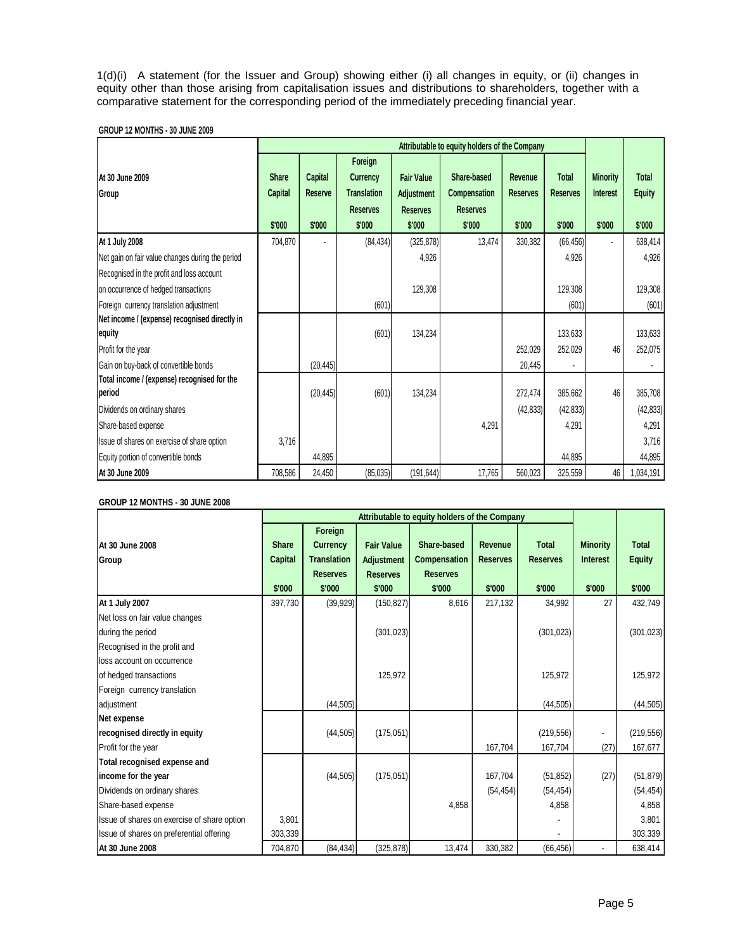1(d)(i) A statement (for the Issuer and Group) showing either (i) all changes in equity, or (ii) changes in equity other than those arising from capitalisation issues and distributions to shareholders, together with a comparative statement for the corresponding period of the immediately preceding financial year.

# **GROUP 12 MONTHS - 30 JUNE 2009**

|                                                         |                                   |                                     | Attributable to equity holders of the Company                                 |                                                                     |                                                          |                                             |                                           |                                              |                                         |
|---------------------------------------------------------|-----------------------------------|-------------------------------------|-------------------------------------------------------------------------------|---------------------------------------------------------------------|----------------------------------------------------------|---------------------------------------------|-------------------------------------------|----------------------------------------------|-----------------------------------------|
| At 30 June 2009<br>Group                                | <b>Share</b><br>Capital<br>\$'000 | Capital<br><b>Reserve</b><br>\$'000 | Foreign<br><b>Currency</b><br><b>Translation</b><br><b>Reserves</b><br>\$'000 | <b>Fair Value</b><br><b>Adjustment</b><br><b>Reserves</b><br>\$'000 | Share-based<br>Compensation<br><b>Reserves</b><br>\$'000 | <b>Revenue</b><br><b>Reserves</b><br>\$'000 | <b>Total</b><br><b>Reserves</b><br>\$'000 | <b>Minority</b><br><b>Interest</b><br>\$'000 | <b>Total</b><br><b>Equity</b><br>\$'000 |
| At 1 July 2008                                          | 704,870                           |                                     | (84, 434)                                                                     | (325, 878)                                                          | 13,474                                                   | 330,382                                     | (66, 456)                                 |                                              | 638,414                                 |
| Net gain on fair value changes during the period        |                                   |                                     |                                                                               | 4,926                                                               |                                                          |                                             | 4,926                                     |                                              | 4,926                                   |
| Recognised in the profit and loss account               |                                   |                                     |                                                                               |                                                                     |                                                          |                                             |                                           |                                              |                                         |
| on occurrence of hedged transactions                    |                                   |                                     |                                                                               | 129,308                                                             |                                                          |                                             | 129,308                                   |                                              | 129,308                                 |
| Foreign currency translation adjustment                 |                                   |                                     | (601)                                                                         |                                                                     |                                                          |                                             | (601)                                     |                                              | (601)                                   |
| Net income / (expense) recognised directly in<br>equity |                                   |                                     | (601)                                                                         | 134,234                                                             |                                                          |                                             | 133,633                                   |                                              | 133,633                                 |
| Profit for the year                                     |                                   |                                     |                                                                               |                                                                     |                                                          | 252,029                                     | 252,029                                   | 46                                           | 252,075                                 |
| Gain on buy-back of convertible bonds                   |                                   | (20, 445)                           |                                                                               |                                                                     |                                                          | 20,445                                      |                                           |                                              |                                         |
| Total income / (expense) recognised for the<br>period   |                                   | (20, 445)                           | (601)                                                                         | 134,234                                                             |                                                          | 272,474                                     | 385,662                                   | 46                                           | 385,708                                 |
| Dividends on ordinary shares                            |                                   |                                     |                                                                               |                                                                     |                                                          | (42, 833)                                   | (42, 833)                                 |                                              | (42, 833)                               |
| Share-based expense                                     |                                   |                                     |                                                                               |                                                                     | 4,291                                                    |                                             | 4,291                                     |                                              | 4,291                                   |
| Issue of shares on exercise of share option             | 3,716                             |                                     |                                                                               |                                                                     |                                                          |                                             |                                           |                                              | 3,716                                   |
| Equity portion of convertible bonds                     |                                   | 44,895                              |                                                                               |                                                                     |                                                          |                                             | 44,895                                    |                                              | 44,895                                  |
| At 30 June 2009                                         | 708,586                           | 24,450                              | (85,035)                                                                      | (191,644)                                                           | 17,765                                                   | 560,023                                     | 325,559                                   | 46                                           | 1,034,191                               |

# **GROUP 12 MONTHS - 30 JUNE 2008**

|                                             |                                |                                                                     | Attributable to equity holders of the Company      |                                                |                            |                                 |                                    |                        |
|---------------------------------------------|--------------------------------|---------------------------------------------------------------------|----------------------------------------------------|------------------------------------------------|----------------------------|---------------------------------|------------------------------------|------------------------|
| At 30 June 2008<br>Group                    | <b>Share</b><br><b>Capital</b> | Foreign<br><b>Currency</b><br><b>Translation</b><br><b>Reserves</b> | <b>Fair Value</b><br>Adjustment<br><b>Reserves</b> | Share-based<br>Compensation<br><b>Reserves</b> | Revenue<br><b>Reserves</b> | <b>Total</b><br><b>Reserves</b> | <b>Minority</b><br><b>Interest</b> | Total<br><b>Equity</b> |
|                                             | \$'000                         | \$'000                                                              | \$'000                                             | \$'000                                         | \$'000                     | \$'000                          | \$'000                             | \$'000                 |
| At 1 July 2007                              | 397,730                        | (39, 929)                                                           | (150, 827)                                         | 8,616                                          | 217,132                    | 34,992                          | 27                                 | 432,749                |
| Net loss on fair value changes              |                                |                                                                     |                                                    |                                                |                            |                                 |                                    |                        |
| during the period                           |                                |                                                                     | (301, 023)                                         |                                                |                            | (301, 023)                      |                                    | (301, 023)             |
| Recognised in the profit and                |                                |                                                                     |                                                    |                                                |                            |                                 |                                    |                        |
| loss account on occurrence                  |                                |                                                                     |                                                    |                                                |                            |                                 |                                    |                        |
| of hedged transactions                      |                                |                                                                     | 125,972                                            |                                                |                            | 125,972                         |                                    | 125,972                |
| Foreign currency translation                |                                |                                                                     |                                                    |                                                |                            |                                 |                                    |                        |
| adjustment                                  |                                | (44, 505)                                                           |                                                    |                                                |                            | (44, 505)                       |                                    | (44, 505)              |
| Net expense                                 |                                |                                                                     |                                                    |                                                |                            |                                 |                                    |                        |
| recognised directly in equity               |                                | (44, 505)                                                           | (175, 051)                                         |                                                |                            | (219, 556)                      | ٠                                  | (219, 556)             |
| Profit for the year                         |                                |                                                                     |                                                    |                                                | 167,704                    | 167,704                         | (27)                               | 167,677                |
| Total recognised expense and                |                                |                                                                     |                                                    |                                                |                            |                                 |                                    |                        |
| income for the year                         |                                | (44, 505)                                                           | (175, 051)                                         |                                                | 167,704                    | (51, 852)                       | (27)                               | (51, 879)              |
| Dividends on ordinary shares                |                                |                                                                     |                                                    |                                                | (54, 454)                  | (54, 454)                       |                                    | (54, 454)              |
| Share-based expense                         |                                |                                                                     |                                                    | 4,858                                          |                            | 4,858                           |                                    | 4,858                  |
| Issue of shares on exercise of share option | 3,801                          |                                                                     |                                                    |                                                |                            |                                 |                                    | 3,801                  |
| Issue of shares on preferential offering    | 303,339                        |                                                                     |                                                    |                                                |                            |                                 |                                    | 303,339                |
| At 30 June 2008                             | 704,870                        | (84, 434)                                                           | (325, 878)                                         | 13,474                                         | 330,382                    | (66, 456)                       |                                    | 638,414                |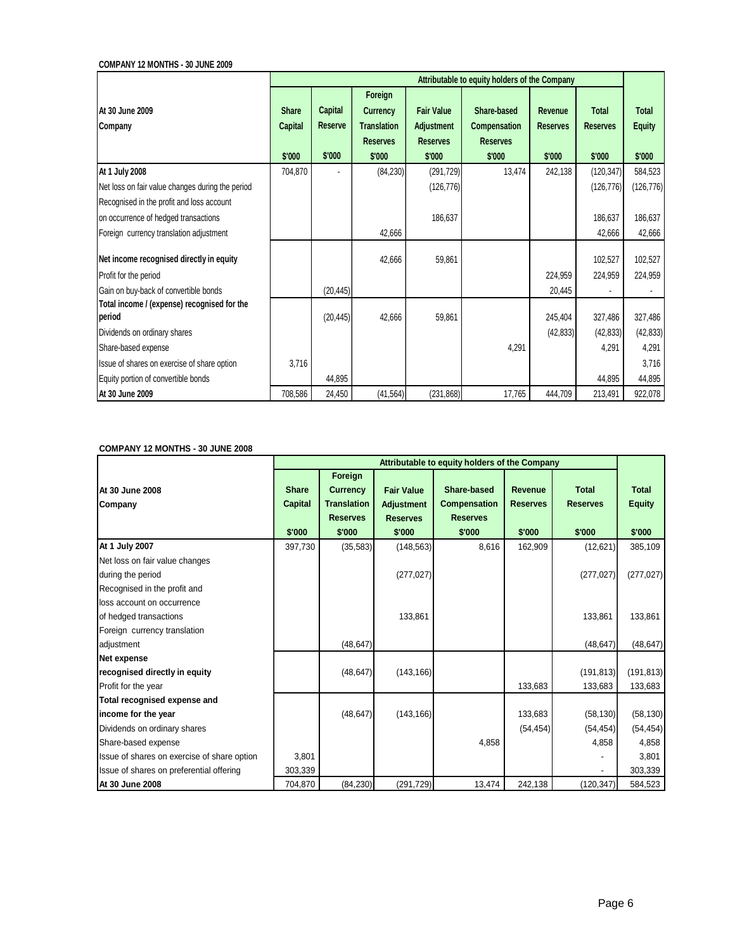**COMPANY 12 MONTHS - 30 JUNE 2009**

|                                                       |                | Attributable to equity holders of the Company |                            |                   |                 |                 |                 |               |  |  |  |  |  |
|-------------------------------------------------------|----------------|-----------------------------------------------|----------------------------|-------------------|-----------------|-----------------|-----------------|---------------|--|--|--|--|--|
| At 30 June 2009                                       | <b>Share</b>   | <b>Capital</b>                                | Foreign<br><b>Currency</b> | <b>Fair Value</b> | Share-based     | Revenue         | <b>Total</b>    | Total         |  |  |  |  |  |
| Company                                               | <b>Capital</b> | Reserve                                       | <b>Translation</b>         | Adjustment        | Compensation    | <b>Reserves</b> | <b>Reserves</b> | <b>Equity</b> |  |  |  |  |  |
|                                                       |                |                                               | <b>Reserves</b>            | <b>Reserves</b>   | <b>Reserves</b> |                 |                 |               |  |  |  |  |  |
|                                                       | \$'000         | \$'000                                        | \$'000                     | \$'000            | \$'000          | \$'000          | \$'000          | \$'000        |  |  |  |  |  |
| At 1 July 2008                                        | 704,870        |                                               | (84, 230)                  | (291, 729)        | 13,474          | 242,138         | (120, 347)      | 584,523       |  |  |  |  |  |
| Net loss on fair value changes during the period      |                |                                               |                            | (126, 776)        |                 |                 | (126, 776)      | (126, 776)    |  |  |  |  |  |
| Recognised in the profit and loss account             |                |                                               |                            |                   |                 |                 |                 |               |  |  |  |  |  |
| on occurrence of hedged transactions                  |                |                                               |                            | 186,637           |                 |                 | 186,637         | 186,637       |  |  |  |  |  |
| Foreign currency translation adjustment               |                |                                               | 42,666                     |                   |                 |                 | 42,666          | 42,666        |  |  |  |  |  |
| Net income recognised directly in equity              |                |                                               | 42,666                     | 59,861            |                 |                 | 102,527         | 102,527       |  |  |  |  |  |
| Profit for the period                                 |                |                                               |                            |                   |                 | 224,959         | 224,959         | 224,959       |  |  |  |  |  |
| Gain on buy-back of convertible bonds                 |                | (20, 445)                                     |                            |                   |                 | 20.445          |                 |               |  |  |  |  |  |
| Total income / (expense) recognised for the<br>period |                | (20, 445)                                     | 42,666                     | 59,861            |                 | 245,404         | 327,486         | 327,486       |  |  |  |  |  |
| Dividends on ordinary shares                          |                |                                               |                            |                   |                 | (42, 833)       | (42, 833)       | (42, 833)     |  |  |  |  |  |
| Share-based expense                                   |                |                                               |                            |                   | 4,291           |                 | 4,291           | 4,291         |  |  |  |  |  |
| Issue of shares on exercise of share option           | 3,716          |                                               |                            |                   |                 |                 |                 | 3,716         |  |  |  |  |  |
| Equity portion of convertible bonds                   |                | 44,895                                        |                            |                   |                 |                 | 44,895          | 44,895        |  |  |  |  |  |
| At 30 June 2009                                       | 708,586        | 24,450                                        | (41, 564)                  | (231, 868)        | 17,765          | 444,709         | 213,491         | 922,078       |  |  |  |  |  |

## **COMPANY 12 MONTHS - 30 JUNE 2008**

|                                             |              | Attributable to equity holders of the Company |                   |                     |                 |                 |               |  |  |  |  |  |  |  |
|---------------------------------------------|--------------|-----------------------------------------------|-------------------|---------------------|-----------------|-----------------|---------------|--|--|--|--|--|--|--|
|                                             |              | Foreign                                       |                   |                     |                 |                 |               |  |  |  |  |  |  |  |
| At 30 June 2008                             | <b>Share</b> | <b>Currency</b>                               | <b>Fair Value</b> | Share-based         | Revenue         | <b>Total</b>    | <b>Total</b>  |  |  |  |  |  |  |  |
| Company                                     | Capital      | <b>Translation</b>                            | <b>Adjustment</b> | <b>Compensation</b> | <b>Reserves</b> | <b>Reserves</b> | <b>Equity</b> |  |  |  |  |  |  |  |
|                                             |              | <b>Reserves</b>                               | <b>Reserves</b>   | <b>Reserves</b>     |                 |                 |               |  |  |  |  |  |  |  |
|                                             | \$'000       | \$'000                                        | \$'000            | \$'000              | \$'000          | \$'000          | \$'000        |  |  |  |  |  |  |  |
| At 1 July 2007                              | 397,730      | (35, 583)                                     | (148, 563)        | 8,616               | 162,909         | (12,621)        | 385,109       |  |  |  |  |  |  |  |
| Net loss on fair value changes              |              |                                               |                   |                     |                 |                 |               |  |  |  |  |  |  |  |
| during the period                           |              |                                               | (277, 027)        |                     |                 | (277, 027)      | (277, 027)    |  |  |  |  |  |  |  |
| Recognised in the profit and                |              |                                               |                   |                     |                 |                 |               |  |  |  |  |  |  |  |
| loss account on occurrence                  |              |                                               |                   |                     |                 |                 |               |  |  |  |  |  |  |  |
| of hedged transactions                      |              |                                               | 133,861           |                     |                 | 133,861         | 133,861       |  |  |  |  |  |  |  |
| Foreign currency translation                |              |                                               |                   |                     |                 |                 |               |  |  |  |  |  |  |  |
| adjustment                                  |              | (48, 647)                                     |                   |                     |                 | (48, 647)       | (48, 647)     |  |  |  |  |  |  |  |
| <b>Net expense</b>                          |              |                                               |                   |                     |                 |                 |               |  |  |  |  |  |  |  |
| recognised directly in equity               |              | (48, 647)                                     | (143, 166)        |                     |                 | (191, 813)      | (191, 813)    |  |  |  |  |  |  |  |
| Profit for the year                         |              |                                               |                   |                     | 133.683         | 133,683         | 133,683       |  |  |  |  |  |  |  |
| Total recognised expense and                |              |                                               |                   |                     |                 |                 |               |  |  |  |  |  |  |  |
| income for the year                         |              | (48, 647)                                     | (143, 166)        |                     | 133,683         | (58, 130)       | (58, 130)     |  |  |  |  |  |  |  |
| Dividends on ordinary shares                |              |                                               |                   |                     | (54, 454)       | (54, 454)       | (54, 454)     |  |  |  |  |  |  |  |
| Share-based expense                         |              |                                               |                   | 4,858               |                 | 4,858           | 4,858         |  |  |  |  |  |  |  |
| Issue of shares on exercise of share option | 3,801        |                                               |                   |                     |                 |                 | 3,801         |  |  |  |  |  |  |  |
| Issue of shares on preferential offering    | 303,339      |                                               |                   |                     |                 |                 | 303,339       |  |  |  |  |  |  |  |
| At 30 June 2008                             | 704,870      | (84, 230)                                     | (291, 729)        | 13,474              | 242,138         | (120, 347)      | 584,523       |  |  |  |  |  |  |  |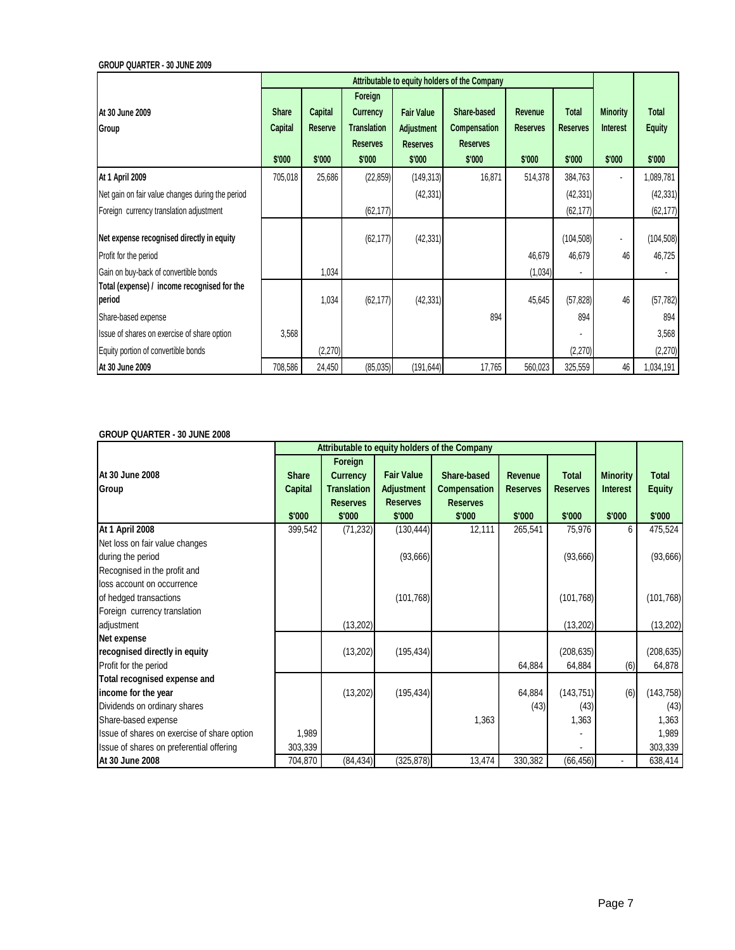**GROUP QUARTER - 30 JUNE 2009**

|                                                       | Attributable to equity holders of the Company |         |                    |                   |                 |                 |                 |                 |               |
|-------------------------------------------------------|-----------------------------------------------|---------|--------------------|-------------------|-----------------|-----------------|-----------------|-----------------|---------------|
|                                                       |                                               |         | Foreign            |                   |                 |                 |                 |                 |               |
| At 30 June 2009                                       | <b>Share</b>                                  | Capital | Currency           | <b>Fair Value</b> | Share-based     | Revenue         | Total           | <b>Minority</b> | <b>Total</b>  |
| Group                                                 | Capital                                       | Reserve | <b>Translation</b> | Adjustment        | Compensation    | <b>Reserves</b> | <b>Reserves</b> | Interest        | <b>Equity</b> |
|                                                       |                                               |         | <b>Reserves</b>    | <b>Reserves</b>   | <b>Reserves</b> |                 |                 |                 |               |
|                                                       | \$'000                                        | \$'000  | \$'000             | \$'000            | \$'000          | \$'000          | \$'000          | \$'000          | \$'000        |
| <b>At 1 April 2009</b>                                | 705,018                                       | 25,686  | (22, 859)          | (149,313)         | 16,871          | 514,378         | 384,763         |                 | 1,089,781     |
| Net gain on fair value changes during the period      |                                               |         |                    | (42, 331)         |                 |                 | (42, 331)       |                 | (42, 331)     |
| Foreign currency translation adjustment               |                                               |         | (62, 177)          |                   |                 |                 | (62, 177)       |                 | (62, 177)     |
|                                                       |                                               |         |                    |                   |                 |                 |                 |                 |               |
| Net expense recognised directly in equity             |                                               |         | (62, 177)          | (42, 331)         |                 |                 | (104, 508)      | ٠               | (104, 508)    |
| Profit for the period                                 |                                               |         |                    |                   |                 | 46,679          | 46,679          | 46              | 46,725        |
| Gain on buy-back of convertible bonds                 |                                               | 1,034   |                    |                   |                 | (1,034)         |                 |                 |               |
| Total (expense) / income recognised for the<br>period |                                               | 1,034   | (62, 177)          | (42, 331)         |                 | 45,645          | (57, 828)       | 46              | (57, 782)     |
| Share-based expense                                   |                                               |         |                    |                   | 894             |                 | 894             |                 | 894           |
| Issue of shares on exercise of share option           | 3,568                                         |         |                    |                   |                 |                 |                 |                 | 3,568         |
| Equity portion of convertible bonds                   |                                               | (2,270) |                    |                   |                 |                 | (2,270)         |                 | (2,270)       |
| At 30 June 2009                                       | 708,586                                       | 24,450  | (85,035)           | (191, 644)        | 17,765          | 560,023         | 325,559         | 46              | 1,034,191     |

## **GROUP QUARTER - 30 JUNE 2008**

|                                             | Attributable to equity holders of the Company |                                                                               |                                                                     |                                                                 |                                      |                                           |                                              |                                         |
|---------------------------------------------|-----------------------------------------------|-------------------------------------------------------------------------------|---------------------------------------------------------------------|-----------------------------------------------------------------|--------------------------------------|-------------------------------------------|----------------------------------------------|-----------------------------------------|
| At 30 June 2008<br>Group                    | <b>Share</b><br><b>Capital</b><br>\$'000      | Foreign<br><b>Currency</b><br><b>Translation</b><br><b>Reserves</b><br>\$'000 | <b>Fair Value</b><br><b>Adjustment</b><br><b>Reserves</b><br>\$'000 | Share-based<br><b>Compensation</b><br><b>Reserves</b><br>\$'000 | Revenue<br><b>Reserves</b><br>\$'000 | <b>Total</b><br><b>Reserves</b><br>\$'000 | <b>Minority</b><br><b>Interest</b><br>\$'000 | <b>Total</b><br><b>Equity</b><br>\$'000 |
| At 1 April 2008                             | 399,542                                       | (71, 232)                                                                     | (130, 444)                                                          | 12,111                                                          | 265,541                              | 75,976                                    | 6                                            | 475,524                                 |
| Net loss on fair value changes              |                                               |                                                                               |                                                                     |                                                                 |                                      |                                           |                                              |                                         |
| during the period                           |                                               |                                                                               | (93, 666)                                                           |                                                                 |                                      | (93,666)                                  |                                              | (93, 666)                               |
| Recognised in the profit and                |                                               |                                                                               |                                                                     |                                                                 |                                      |                                           |                                              |                                         |
| loss account on occurrence                  |                                               |                                                                               |                                                                     |                                                                 |                                      |                                           |                                              |                                         |
| of hedged transactions                      |                                               |                                                                               | (101, 768)                                                          |                                                                 |                                      | (101, 768)                                |                                              | (101, 768)                              |
| Foreign currency translation                |                                               |                                                                               |                                                                     |                                                                 |                                      |                                           |                                              |                                         |
| adjustment                                  |                                               | (13,202)                                                                      |                                                                     |                                                                 |                                      | (13,202)                                  |                                              | (13, 202)                               |
| Net expense                                 |                                               |                                                                               |                                                                     |                                                                 |                                      |                                           |                                              |                                         |
| recognised directly in equity               |                                               | (13,202)                                                                      | (195, 434)                                                          |                                                                 |                                      | (208, 635)                                |                                              | (208, 635)                              |
| Profit for the period                       |                                               |                                                                               |                                                                     |                                                                 | 64,884                               | 64,884                                    | (6)                                          | 64,878                                  |
| Total recognised expense and                |                                               |                                                                               |                                                                     |                                                                 |                                      |                                           |                                              |                                         |
| income for the year                         |                                               | (13,202)                                                                      | (195, 434)                                                          |                                                                 | 64,884                               | (143, 751)                                | (6)                                          | (143, 758)                              |
| Dividends on ordinary shares                |                                               |                                                                               |                                                                     |                                                                 | (43)                                 | (43)                                      |                                              | (43)                                    |
| Share-based expense                         |                                               |                                                                               |                                                                     | 1,363                                                           |                                      | 1,363                                     |                                              | 1,363                                   |
| Issue of shares on exercise of share option | 1,989                                         |                                                                               |                                                                     |                                                                 |                                      |                                           |                                              | 1,989                                   |
| Issue of shares on preferential offering    | 303,339                                       |                                                                               |                                                                     |                                                                 |                                      |                                           |                                              | 303,339                                 |
| At 30 June 2008                             | 704,870                                       | (84, 434)                                                                     | (325, 878)                                                          | 13,474                                                          | 330,382                              | (66, 456)                                 |                                              | 638,414                                 |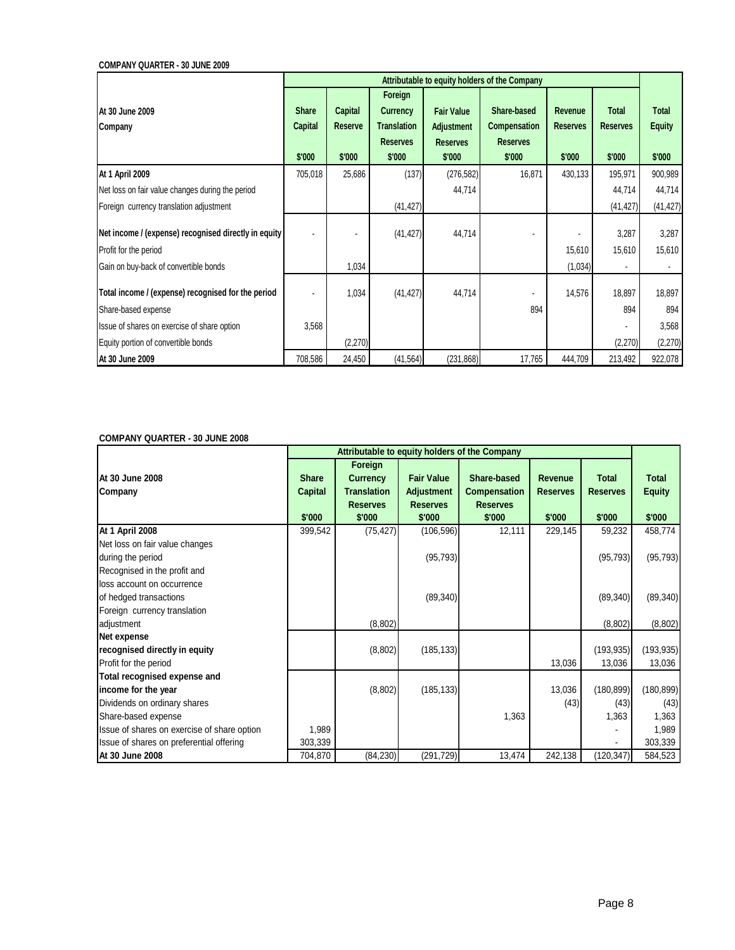**COMPANY QUARTER - 30 JUNE 2009**

|                                                      |              | Attributable to equity holders of the Company |                    |                   |                 |                 |                 |               |  |
|------------------------------------------------------|--------------|-----------------------------------------------|--------------------|-------------------|-----------------|-----------------|-----------------|---------------|--|
|                                                      |              |                                               | Foreign            |                   |                 |                 |                 |               |  |
| At 30 June 2009                                      | <b>Share</b> | Capital                                       | <b>Currency</b>    | <b>Fair Value</b> | Share-based     | Revenue         | <b>Total</b>    | <b>Total</b>  |  |
| Company                                              | Capital      | <b>Reserve</b>                                | <b>Translation</b> | <b>Adjustment</b> | Compensation    | <b>Reserves</b> | <b>Reserves</b> | <b>Equity</b> |  |
|                                                      |              |                                               | <b>Reserves</b>    | <b>Reserves</b>   | <b>Reserves</b> |                 |                 |               |  |
|                                                      | \$'000       | \$'000                                        | \$'000             | \$'000            | \$'000          | \$'000          | \$'000          | \$'000        |  |
| <b>At 1 April 2009</b>                               | 705,018      | 25,686                                        | (137)              | (276, 582)        | 16,871          | 430,133         | 195,971         | 900,989       |  |
| Net loss on fair value changes during the period     |              |                                               |                    | 44,714            |                 |                 | 44,714          | 44,714        |  |
| Foreign currency translation adjustment              |              |                                               | (41, 427)          |                   |                 |                 | (41, 427)       | (41, 427)     |  |
|                                                      |              |                                               |                    |                   |                 |                 |                 |               |  |
| Net income / (expense) recognised directly in equity |              |                                               | (41, 427)          | 44,714            |                 |                 | 3,287           | 3,287         |  |
| Profit for the period                                |              |                                               |                    |                   |                 | 15,610          | 15,610          | 15,610        |  |
| Gain on buy-back of convertible bonds                |              | 1,034                                         |                    |                   |                 | (1,034)         |                 |               |  |
| Total income / (expense) recognised for the period   |              | 1,034                                         | (41, 427)          | 44,714            |                 | 14,576          | 18,897          | 18,897        |  |
| Share-based expense                                  |              |                                               |                    |                   | 894             |                 | 894             | 894           |  |
| Issue of shares on exercise of share option          | 3,568        |                                               |                    |                   |                 |                 |                 | 3,568         |  |
| Equity portion of convertible bonds                  |              | (2,270)                                       |                    |                   |                 |                 | (2,270)         | (2,270)       |  |
| At 30 June 2009                                      | 708,586      | 24,450                                        | (41, 564)          | (231, 868)        | 17,765          | 444,709         | 213,492         | 922,078       |  |

## **COMPANY QUARTER - 30 JUNE 2008**

|                                                                                     | Attributable to equity holders of the Company |                                                                               |                                                                     |                                                                 |                                      |                                           |                                         |  |
|-------------------------------------------------------------------------------------|-----------------------------------------------|-------------------------------------------------------------------------------|---------------------------------------------------------------------|-----------------------------------------------------------------|--------------------------------------|-------------------------------------------|-----------------------------------------|--|
| At 30 June 2008<br>Company                                                          | <b>Share</b><br>Capital<br>\$'000             | Foreign<br><b>Currency</b><br><b>Translation</b><br><b>Reserves</b><br>\$'000 | <b>Fair Value</b><br><b>Adjustment</b><br><b>Reserves</b><br>\$'000 | Share-based<br><b>Compensation</b><br><b>Reserves</b><br>\$'000 | Revenue<br><b>Reserves</b><br>\$'000 | <b>Total</b><br><b>Reserves</b><br>\$'000 | <b>Total</b><br><b>Equity</b><br>\$'000 |  |
| At 1 April 2008                                                                     | 399,542                                       | (75, 427)                                                                     | (106, 596)                                                          | 12,111                                                          | 229,145                              | 59,232                                    | 458,774                                 |  |
| Net loss on fair value changes<br>during the period<br>Recognised in the profit and |                                               |                                                                               | (95, 793)                                                           |                                                                 |                                      | (95, 793)                                 | (95, 793)                               |  |
| loss account on occurrence<br>of hedged transactions                                |                                               |                                                                               | (89, 340)                                                           |                                                                 |                                      | (89, 340)                                 | (89, 340)                               |  |
| Foreign currency translation                                                        |                                               |                                                                               |                                                                     |                                                                 |                                      |                                           |                                         |  |
| adjustment                                                                          |                                               | (8, 802)                                                                      |                                                                     |                                                                 |                                      | (8,802)                                   | (8,802)                                 |  |
| Net expense                                                                         |                                               |                                                                               |                                                                     |                                                                 |                                      |                                           |                                         |  |
| recognised directly in equity                                                       |                                               | (8,802)                                                                       | (185, 133)                                                          |                                                                 |                                      | (193, 935)                                | (193, 935)                              |  |
| Profit for the period                                                               |                                               |                                                                               |                                                                     |                                                                 | 13,036                               | 13,036                                    | 13,036                                  |  |
| Total recognised expense and                                                        |                                               |                                                                               |                                                                     |                                                                 |                                      |                                           |                                         |  |
| income for the year                                                                 |                                               | (8,802)                                                                       | (185, 133)                                                          |                                                                 | 13,036                               | (180, 899)                                | (180, 899)                              |  |
| Dividends on ordinary shares                                                        |                                               |                                                                               |                                                                     |                                                                 | (43)                                 | (43)                                      | (43)                                    |  |
| Share-based expense                                                                 |                                               |                                                                               |                                                                     | 1,363                                                           |                                      | 1,363                                     | 1,363                                   |  |
| Issue of shares on exercise of share option                                         | 1,989                                         |                                                                               |                                                                     |                                                                 |                                      |                                           | 1,989                                   |  |
| Issue of shares on preferential offering                                            | 303,339                                       |                                                                               |                                                                     |                                                                 |                                      |                                           | 303,339                                 |  |
| At 30 June 2008                                                                     | 704,870                                       | (84, 230)                                                                     | (291, 729)                                                          | 13,474                                                          | 242,138                              | (120, 347)                                | 584,523                                 |  |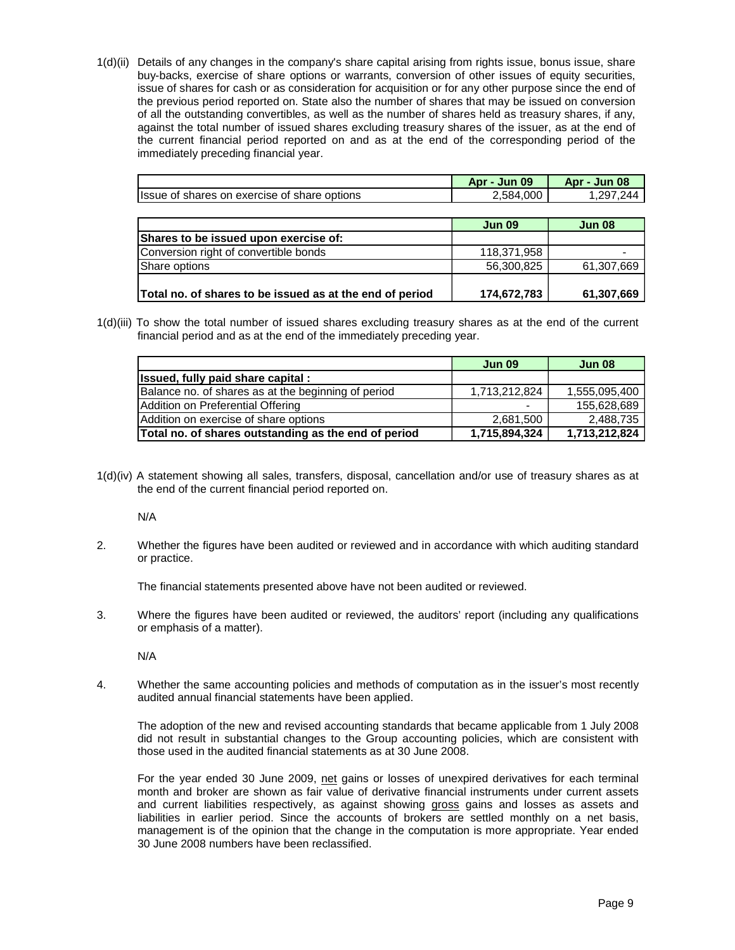1(d)(ii) Details of any changes in the company's share capital arising from rights issue, bonus issue, share buy-backs, exercise of share options or warrants, conversion of other issues of equity securities, issue of shares for cash or as consideration for acquisition or for any other purpose since the end of the previous period reported on. State also the number of shares that may be issued on conversion of all the outstanding convertibles, as well as the number of shares held as treasury shares, if any, against the total number of issued shares excluding treasury shares of the issuer, as at the end of the current financial period reported on and as at the end of the corresponding period of the immediately preceding financial year.

|                                                          | Apr - Jun 09  | Apr - Jun 08  |
|----------------------------------------------------------|---------------|---------------|
| Issue of shares on exercise of share options             | 2,584,000     | 1,297,244     |
|                                                          |               |               |
|                                                          | <b>Jun 09</b> | <b>Jun 08</b> |
| Shares to be issued upon exercise of:                    |               |               |
| Conversion right of convertible bonds                    | 118,371,958   |               |
| Share options                                            | 56,300,825    | 61,307,669    |
|                                                          |               |               |
| Total no. of shares to be issued as at the end of period | 174,672,783   | 61,307,669    |

1(d)(iii) To show the total number of issued shares excluding treasury shares as at the end of the current financial period and as at the end of the immediately preceding year.

|                                                      | <b>Jun 09</b> | <b>Jun 08</b> |
|------------------------------------------------------|---------------|---------------|
| Issued, fully paid share capital:                    |               |               |
| Balance no. of shares as at the beginning of period  | 1,713,212,824 | 1,555,095,400 |
| Addition on Preferential Offering                    | $\,$          | 155,628,689   |
| Addition on exercise of share options                | 2,681,500     | 2,488,735     |
| Total no. of shares outstanding as the end of period | 1,715,894,324 | 1,713,212,824 |

1(d)(iv) A statement showing all sales, transfers, disposal, cancellation and/or use of treasury shares as at the end of the current financial period reported on.

N/A

2. Whether the figures have been audited or reviewed and in accordance with which auditing standard or practice.

The financial statements presented above have not been audited or reviewed.

3. Where the figures have been audited or reviewed, the auditors' report (including any qualifications or emphasis of a matter).

N/A

4. Whether the same accounting policies and methods of computation as in the issuer's most recently audited annual financial statements have been applied.

 The adoption of the new and revised accounting standards that became applicable from 1 July 2008 did not result in substantial changes to the Group accounting policies, which are consistent with those used in the audited financial statements as at 30 June 2008.

 For the year ended 30 June 2009, net gains or losses of unexpired derivatives for each terminal month and broker are shown as fair value of derivative financial instruments under current assets and current liabilities respectively, as against showing gross gains and losses as assets and liabilities in earlier period. Since the accounts of brokers are settled monthly on a net basis, management is of the opinion that the change in the computation is more appropriate. Year ended 30 June 2008 numbers have been reclassified.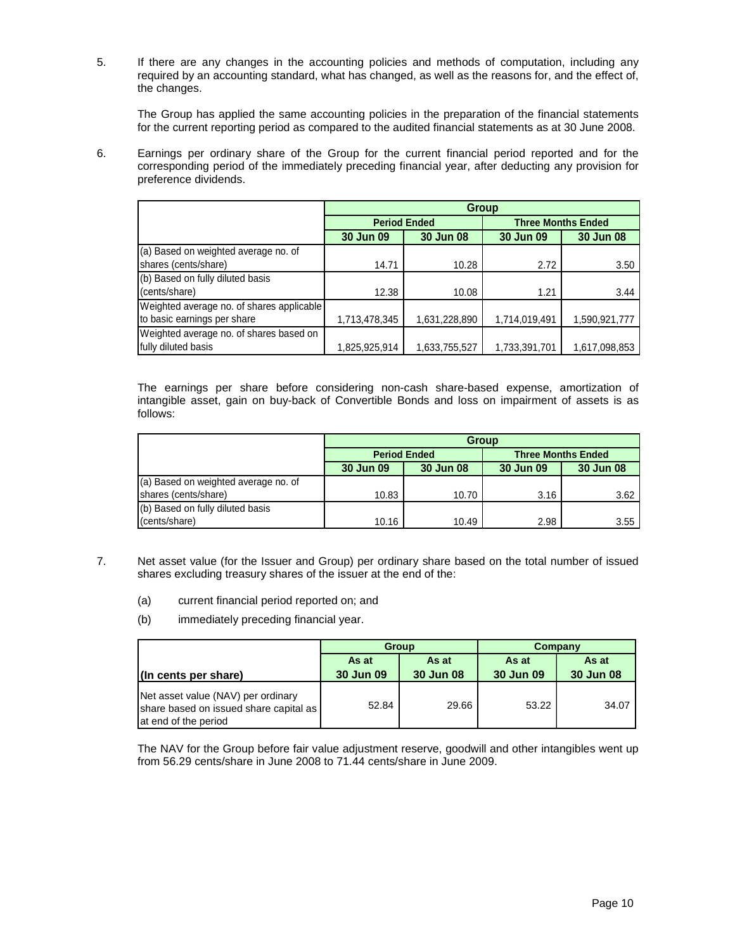5. If there are any changes in the accounting policies and methods of computation, including any required by an accounting standard, what has changed, as well as the reasons for, and the effect of, the changes.

 The Group has applied the same accounting policies in the preparation of the financial statements for the current reporting period as compared to the audited financial statements as at 30 June 2008.

6. Earnings per ordinary share of the Group for the current financial period reported and for the corresponding period of the immediately preceding financial year, after deducting any provision for preference dividends.

|                                           | Group         |                     |               |                           |  |  |
|-------------------------------------------|---------------|---------------------|---------------|---------------------------|--|--|
|                                           |               | <b>Period Ended</b> |               | <b>Three Months Ended</b> |  |  |
|                                           | 30 Jun 09     | 30 Jun 08           | 30 Jun 09     | 30 Jun 08                 |  |  |
| (a) Based on weighted average no. of      |               |                     |               |                           |  |  |
| shares (cents/share)                      | 14.71         | 10.28               | 2.72          | 3.50                      |  |  |
| (b) Based on fully diluted basis          |               |                     |               |                           |  |  |
| (cents/share)                             | 12.38         | 10.08               | 1.21          | 3.44                      |  |  |
| Weighted average no. of shares applicable |               |                     |               |                           |  |  |
| to basic earnings per share               | 1,713,478,345 | 1,631,228,890       | 1,714,019,491 | 1,590,921,777             |  |  |
| Weighted average no. of shares based on   |               |                     |               |                           |  |  |
| fully diluted basis                       | 1,825,925,914 | 1,633,755,527       | 1,733,391,701 | 1,617,098,853             |  |  |

 The earnings per share before considering non-cash share-based expense, amortization of intangible asset, gain on buy-back of Convertible Bonds and loss on impairment of assets is as follows:

|                                      | <b>Group</b> |                     |                           |           |  |  |
|--------------------------------------|--------------|---------------------|---------------------------|-----------|--|--|
|                                      |              | <b>Period Ended</b> | <b>Three Months Ended</b> |           |  |  |
|                                      | 30 Jun 09    | 30 Jun 08           | 30 Jun 09                 | 30 Jun 08 |  |  |
| (a) Based on weighted average no. of |              |                     |                           |           |  |  |
| shares (cents/share)                 | 10.83        | 10.70               | 3.16                      | 3.62      |  |  |
| (b) Based on fully diluted basis     |              |                     |                           |           |  |  |
| (cents/share)                        | 10.16        | 10.49               | 2.98                      | 3.55      |  |  |

- 7. Net asset value (for the Issuer and Group) per ordinary share based on the total number of issued shares excluding treasury shares of the issuer at the end of the:
	- (a) current financial period reported on; and
	- (b) immediately preceding financial year.

|                                                                                                      |                                                 | <b>Group</b> | Company            |                    |  |
|------------------------------------------------------------------------------------------------------|-------------------------------------------------|--------------|--------------------|--------------------|--|
| (In cents per share)                                                                                 | As at<br>As at<br><b>30 Jun 09</b><br>30 Jun 08 |              | As at<br>30 Jun 09 | As at<br>30 Jun 08 |  |
| Net asset value (NAV) per ordinary<br>share based on issued share capital as<br>at end of the period | 52.84                                           | 29.66        | 53.22              | 34.07              |  |

The NAV for the Group before fair value adjustment reserve, goodwill and other intangibles went up from 56.29 cents/share in June 2008 to 71.44 cents/share in June 2009.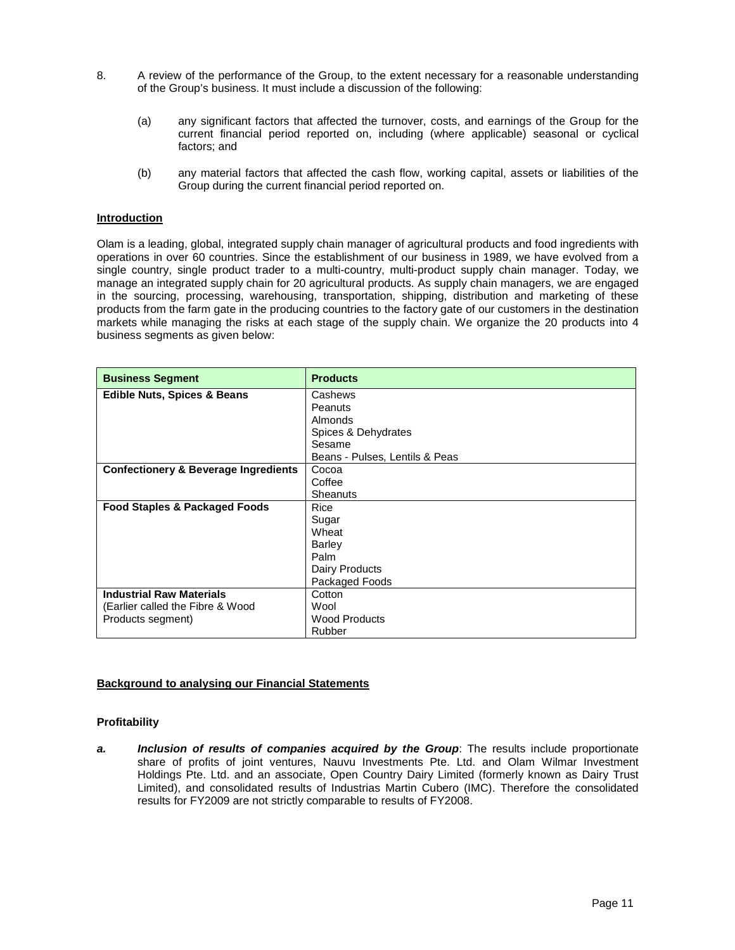- 8. A review of the performance of the Group, to the extent necessary for a reasonable understanding of the Group's business. It must include a discussion of the following:
	- (a) any significant factors that affected the turnover, costs, and earnings of the Group for the current financial period reported on, including (where applicable) seasonal or cyclical factors; and
	- (b) any material factors that affected the cash flow, working capital, assets or liabilities of the Group during the current financial period reported on.

## **Introduction**

Olam is a leading, global, integrated supply chain manager of agricultural products and food ingredients with operations in over 60 countries. Since the establishment of our business in 1989, we have evolved from a single country, single product trader to a multi-country, multi-product supply chain manager. Today, we manage an integrated supply chain for 20 agricultural products. As supply chain managers, we are engaged in the sourcing, processing, warehousing, transportation, shipping, distribution and marketing of these products from the farm gate in the producing countries to the factory gate of our customers in the destination markets while managing the risks at each stage of the supply chain. We organize the 20 products into 4 business segments as given below:

| <b>Business Segment</b>                         | <b>Products</b>                |
|-------------------------------------------------|--------------------------------|
| <b>Edible Nuts, Spices &amp; Beans</b>          | Cashews                        |
|                                                 | Peanuts                        |
|                                                 | Almonds                        |
|                                                 | Spices & Dehydrates            |
|                                                 | Sesame                         |
|                                                 | Beans - Pulses, Lentils & Peas |
| <b>Confectionery &amp; Beverage Ingredients</b> | Cocoa                          |
|                                                 | Coffee                         |
|                                                 | Sheanuts                       |
| Food Staples & Packaged Foods                   | Rice                           |
|                                                 | Sugar                          |
|                                                 | Wheat                          |
|                                                 | <b>Barley</b>                  |
|                                                 | Palm                           |
|                                                 | Dairy Products                 |
|                                                 | Packaged Foods                 |
| <b>Industrial Raw Materials</b>                 | Cotton                         |
| (Earlier called the Fibre & Wood                | Wool                           |
| Products segment)                               | <b>Wood Products</b>           |
|                                                 | Rubber                         |

## **Background to analysing our Financial Statements**

## **Profitability**

**a.** Inclusion of results of companies acquired by the Group: The results include proportionate share of profits of joint ventures, Nauvu Investments Pte. Ltd. and Olam Wilmar Investment Holdings Pte. Ltd. and an associate, Open Country Dairy Limited (formerly known as Dairy Trust Limited), and consolidated results of Industrias Martin Cubero (IMC). Therefore the consolidated results for FY2009 are not strictly comparable to results of FY2008.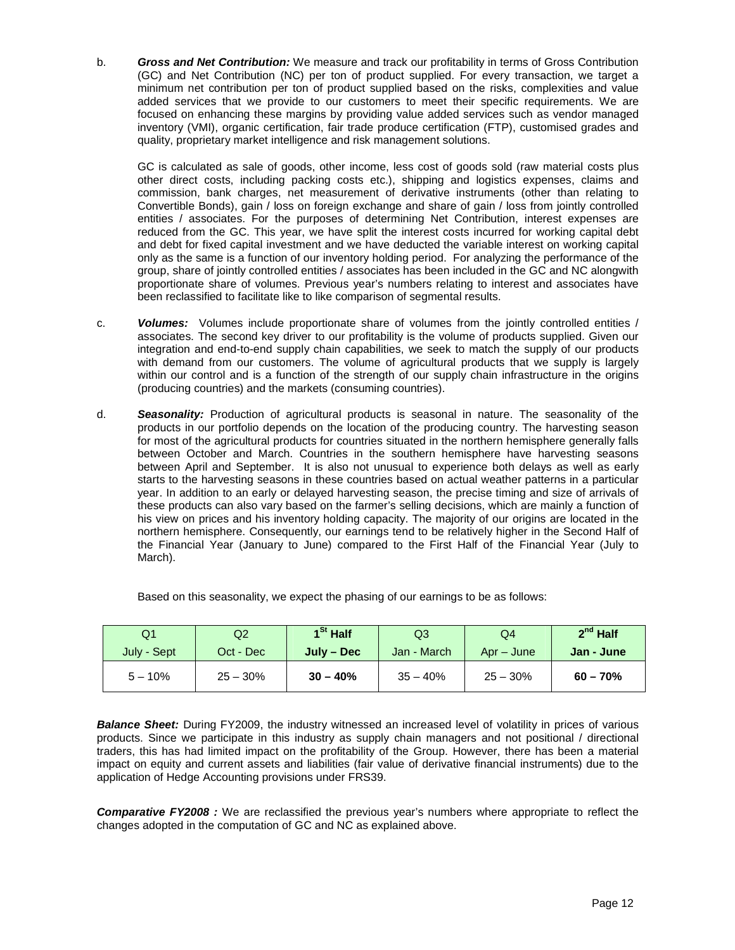b. **Gross and Net Contribution:** We measure and track our profitability in terms of Gross Contribution (GC) and Net Contribution (NC) per ton of product supplied. For every transaction, we target a minimum net contribution per ton of product supplied based on the risks, complexities and value added services that we provide to our customers to meet their specific requirements. We are focused on enhancing these margins by providing value added services such as vendor managed inventory (VMI), organic certification, fair trade produce certification (FTP), customised grades and quality, proprietary market intelligence and risk management solutions.

GC is calculated as sale of goods, other income, less cost of goods sold (raw material costs plus other direct costs, including packing costs etc.), shipping and logistics expenses, claims and commission, bank charges, net measurement of derivative instruments (other than relating to Convertible Bonds), gain / loss on foreign exchange and share of gain / loss from jointly controlled entities / associates. For the purposes of determining Net Contribution, interest expenses are reduced from the GC. This year, we have split the interest costs incurred for working capital debt and debt for fixed capital investment and we have deducted the variable interest on working capital only as the same is a function of our inventory holding period. For analyzing the performance of the group, share of jointly controlled entities / associates has been included in the GC and NC alongwith proportionate share of volumes. Previous year's numbers relating to interest and associates have been reclassified to facilitate like to like comparison of segmental results.

- c. **Volumes:** Volumes include proportionate share of volumes from the jointly controlled entities / associates. The second key driver to our profitability is the volume of products supplied. Given our integration and end-to-end supply chain capabilities, we seek to match the supply of our products with demand from our customers. The volume of agricultural products that we supply is largely within our control and is a function of the strength of our supply chain infrastructure in the origins (producing countries) and the markets (consuming countries).
- d. **Seasonality:** Production of agricultural products is seasonal in nature. The seasonality of the products in our portfolio depends on the location of the producing country. The harvesting season for most of the agricultural products for countries situated in the northern hemisphere generally falls between October and March. Countries in the southern hemisphere have harvesting seasons between April and September. It is also not unusual to experience both delays as well as early starts to the harvesting seasons in these countries based on actual weather patterns in a particular year. In addition to an early or delayed harvesting season, the precise timing and size of arrivals of these products can also vary based on the farmer's selling decisions, which are mainly a function of his view on prices and his inventory holding capacity. The majority of our origins are located in the northern hemisphere. Consequently, our earnings tend to be relatively higher in the Second Half of the Financial Year (January to June) compared to the First Half of the Financial Year (July to March).

| Q1          | Q2         | $1St$ Half   | Q3          | Q4         | $2nd$ Half |
|-------------|------------|--------------|-------------|------------|------------|
| July - Sept | Oct - Dec  | $July - Dec$ | Jan - March | Apr – June | Jan - June |
| $5 - 10\%$  | $25 - 30%$ | $30 - 40%$   | $35 - 40%$  | $25 - 30%$ | $60 - 70%$ |

Based on this seasonality, we expect the phasing of our earnings to be as follows:

**Balance Sheet:** During FY2009, the industry witnessed an increased level of volatility in prices of various products. Since we participate in this industry as supply chain managers and not positional / directional traders, this has had limited impact on the profitability of the Group. However, there has been a material impact on equity and current assets and liabilities (fair value of derivative financial instruments) due to the application of Hedge Accounting provisions under FRS39.

**Comparative FY2008 :** We are reclassified the previous year's numbers where appropriate to reflect the changes adopted in the computation of GC and NC as explained above.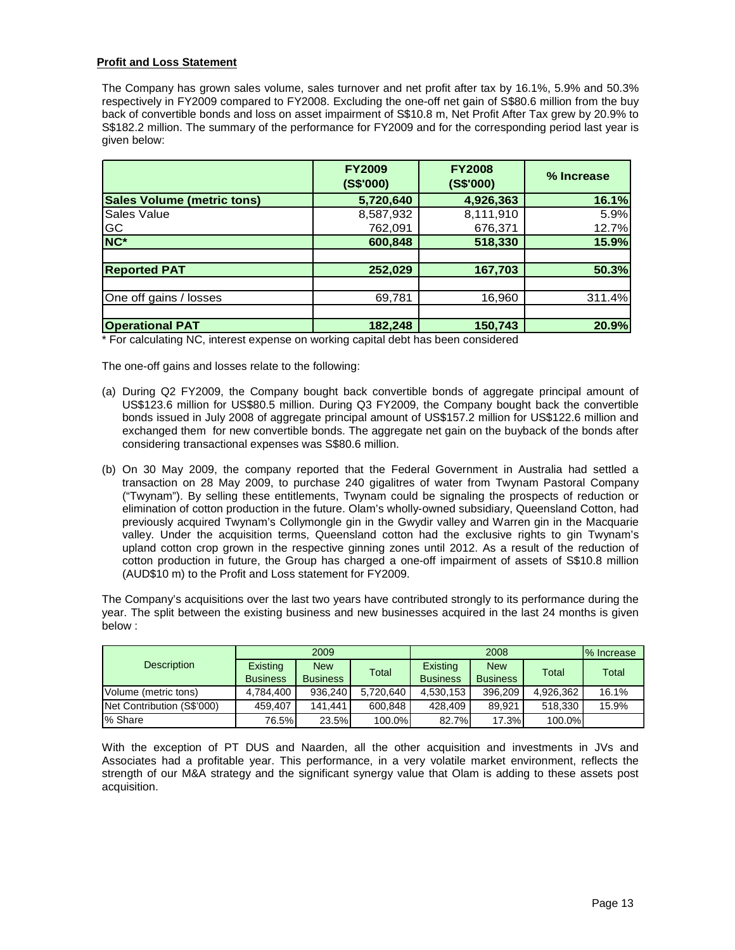# **Profit and Loss Statement**

The Company has grown sales volume, sales turnover and net profit after tax by 16.1%, 5.9% and 50.3% respectively in FY2009 compared to FY2008. Excluding the one-off net gain of S\$80.6 million from the buy back of convertible bonds and loss on asset impairment of S\$10.8 m, Net Profit After Tax grew by 20.9% to S\$182.2 million. The summary of the performance for FY2009 and for the corresponding period last year is given below:

|                                   | <b>FY2009</b><br>(S\$'000) | <b>FY2008</b><br>(S\$'000) | % Increase |
|-----------------------------------|----------------------------|----------------------------|------------|
| <b>Sales Volume (metric tons)</b> | 5,720,640                  | 4,926,363                  | 16.1%      |
| Sales Value                       | 8,587,932                  | 8,111,910                  | 5.9%       |
| GC                                | 762,091                    | 676,371                    | 12.7%      |
| NC <sup>*</sup>                   | 600,848                    | 518,330                    | 15.9%      |
|                                   |                            |                            |            |
| <b>Reported PAT</b>               | 252,029                    | 167,703                    | 50.3%      |
|                                   |                            |                            |            |
| One off gains / losses            | 69,781                     | 16,960                     | 311.4%     |
|                                   |                            |                            |            |
| <b>Operational PAT</b>            | 182,248                    | 150,743                    | 20.9%      |

\* For calculating NC, interest expense on working capital debt has been considered

The one-off gains and losses relate to the following:

- (a) During Q2 FY2009, the Company bought back convertible bonds of aggregate principal amount of US\$123.6 million for US\$80.5 million. During Q3 FY2009, the Company bought back the convertible bonds issued in July 2008 of aggregate principal amount of US\$157.2 million for US\$122.6 million and exchanged them for new convertible bonds. The aggregate net gain on the buyback of the bonds after considering transactional expenses was S\$80.6 million.
- (b) On 30 May 2009, the company reported that the Federal Government in Australia had settled a transaction on 28 May 2009, to purchase 240 gigalitres of water from Twynam Pastoral Company ("Twynam"). By selling these entitlements, Twynam could be signaling the prospects of reduction or elimination of cotton production in the future. Olam's wholly-owned subsidiary, Queensland Cotton, had previously acquired Twynam's Collymongle gin in the Gwydir valley and Warren gin in the Macquarie valley. Under the acquisition terms, Queensland cotton had the exclusive rights to gin Twynam's upland cotton crop grown in the respective ginning zones until 2012. As a result of the reduction of cotton production in future, the Group has charged a one-off impairment of assets of S\$10.8 million (AUD\$10 m) to the Profit and Loss statement for FY2009.

The Company's acquisitions over the last two years have contributed strongly to its performance during the year. The split between the existing business and new businesses acquired in the last 24 months is given below :

|                            |                             | 2009                          |              |                             | 2008<br>% Increase            |           |       |  |
|----------------------------|-----------------------------|-------------------------------|--------------|-----------------------------|-------------------------------|-----------|-------|--|
| <b>Description</b>         | Existing<br><b>Business</b> | <b>New</b><br><b>Business</b> | <b>Total</b> | Existing<br><b>Business</b> | <b>New</b><br><b>Business</b> | Total     | Total |  |
| Volume (metric tons)       | 4.784.400                   | 936,240                       | 5,720,640    | 4,530,153                   | 396,209                       | 4,926,362 | 16.1% |  |
| Net Contribution (S\$'000) | 459.407                     | 141.441                       | 600,848      | 428,409                     | 89.921                        | 518,330   | 15.9% |  |
| % Share                    | 76.5%                       | 23.5%                         | 100.0%       | 82.7%                       | 17.3%                         | 100.0%    |       |  |

With the exception of PT DUS and Naarden, all the other acquisition and investments in JVs and Associates had a profitable year. This performance, in a very volatile market environment, reflects the strength of our M&A strategy and the significant synergy value that Olam is adding to these assets post acquisition.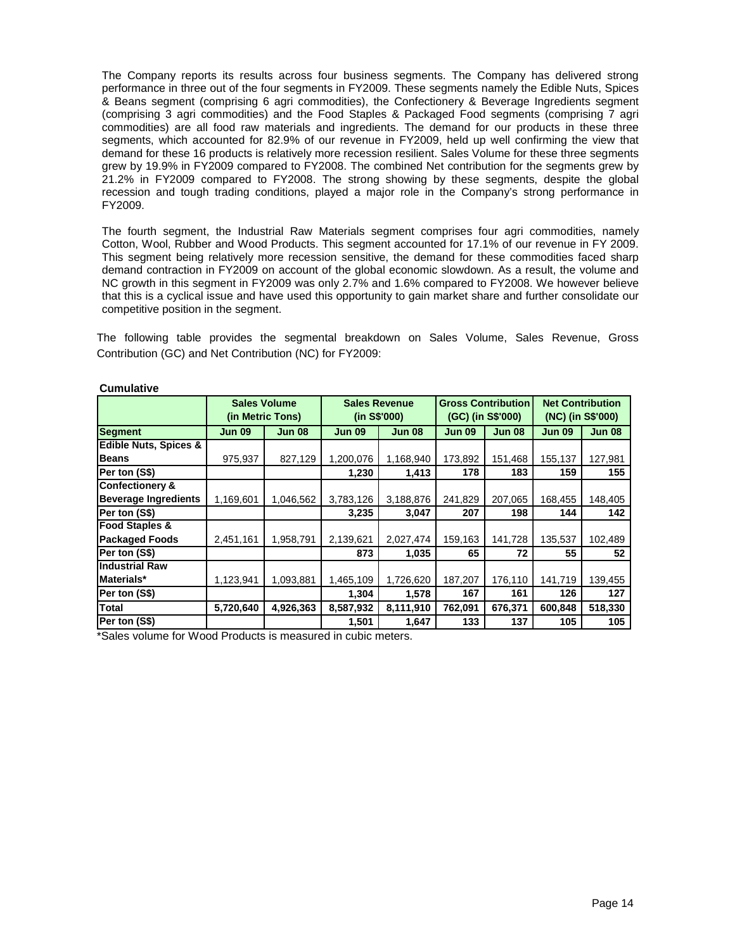The Company reports its results across four business segments. The Company has delivered strong performance in three out of the four segments in FY2009. These segments namely the Edible Nuts, Spices & Beans segment (comprising 6 agri commodities), the Confectionery & Beverage Ingredients segment (comprising 3 agri commodities) and the Food Staples & Packaged Food segments (comprising 7 agri commodities) are all food raw materials and ingredients. The demand for our products in these three segments, which accounted for 82.9% of our revenue in FY2009, held up well confirming the view that demand for these 16 products is relatively more recession resilient. Sales Volume for these three segments grew by 19.9% in FY2009 compared to FY2008. The combined Net contribution for the segments grew by 21.2% in FY2009 compared to FY2008. The strong showing by these segments, despite the global recession and tough trading conditions, played a major role in the Company's strong performance in FY2009.

The fourth segment, the Industrial Raw Materials segment comprises four agri commodities, namely Cotton, Wool, Rubber and Wood Products. This segment accounted for 17.1% of our revenue in FY 2009. This segment being relatively more recession sensitive, the demand for these commodities faced sharp demand contraction in FY2009 on account of the global economic slowdown. As a result, the volume and NC growth in this segment in FY2009 was only 2.7% and 1.6% compared to FY2008. We however believe that this is a cyclical issue and have used this opportunity to gain market share and further consolidate our competitive position in the segment.

The following table provides the segmental breakdown on Sales Volume, Sales Revenue, Gross Contribution (GC) and Net Contribution (NC) for FY2009:

|                                  | <b>Sales Volume</b><br>(in Metric Tons) |               |               | <b>Sales Revenue</b><br>(in S\$'000) | <b>Gross Contribution</b><br>(GC) (in S\$'000) |               | <b>Net Contribution</b><br>(NC) (in S\$'000) |               |
|----------------------------------|-----------------------------------------|---------------|---------------|--------------------------------------|------------------------------------------------|---------------|----------------------------------------------|---------------|
| <b>Segment</b>                   | <b>Jun 09</b>                           | <b>Jun 08</b> | <b>Jun 09</b> | <b>Jun 08</b>                        | <b>Jun 09</b>                                  | <b>Jun 08</b> | <b>Jun 09</b>                                | <b>Jun 08</b> |
| <b>Edible Nuts, Spices &amp;</b> |                                         |               |               |                                      |                                                |               |                                              |               |
| <b>Beans</b>                     | 975,937                                 | 827,129       | 1,200,076     | 1,168,940                            | 173,892                                        | 151,468       | 155,137                                      | 127,981       |
| Per ton (S\$)                    |                                         |               | 1,230         | 1,413                                | 178                                            | 183           | 159                                          | 155           |
| <b>Confectionery &amp;</b>       |                                         |               |               |                                      |                                                |               |                                              |               |
| <b>Beverage Ingredients</b>      | 1,169,601                               | 1,046,562     | 3,783,126     | 3,188,876                            | 241,829                                        | 207,065       | 168,455                                      | 148,405       |
| Per ton (S\$)                    |                                         |               | 3,235         | 3,047                                | 207                                            | 198           | 144                                          | 142           |
| <b>Food Staples &amp;</b>        |                                         |               |               |                                      |                                                |               |                                              |               |
| <b>Packaged Foods</b>            | 2,451,161                               | 1,958,791     | 2,139,621     | 2,027,474                            | 159,163                                        | 141,728       | 135,537                                      | 102,489       |
| Per ton (S\$)                    |                                         |               | 873           | 1,035                                | 65                                             | 72            | 55                                           | 52            |
| <b>Industrial Raw</b>            |                                         |               |               |                                      |                                                |               |                                              |               |
| Materials*                       | 1,123,941                               | 1,093,881     | 1,465,109     | 1,726,620                            | 187,207                                        | 176,110       | 141,719                                      | 139,455       |
| Per ton (S\$)                    |                                         |               | 1,304         | 1,578                                | 167                                            | 161           | 126                                          | 127           |
| Total                            | 5,720,640                               | 4,926,363     | 8,587,932     | 8,111,910                            | 762,091                                        | 676,371       | 600,848                                      | 518,330       |
| Per ton (S\$)                    |                                         |               | 1,501         | 1,647                                | 133                                            | 137           | 105                                          | 105           |

**Cumulative**

\*Sales volume for Wood Products is measured in cubic meters.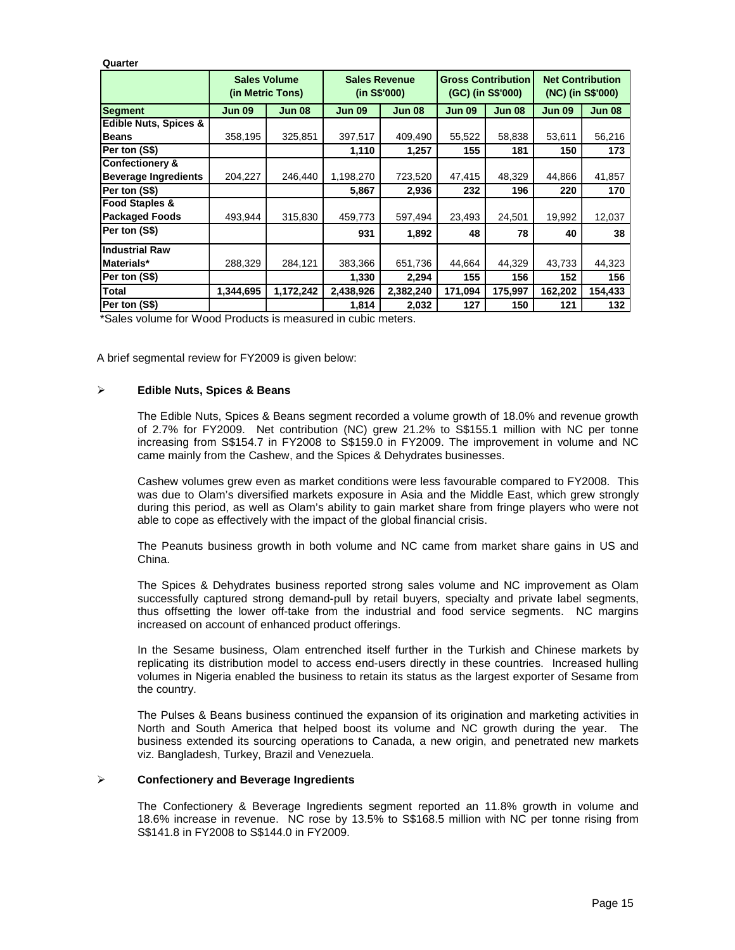**Quarter Segment Jun 09 Jun 08 Jun 09 Jun 08 Jun 09 Jun 08 Jun 09 Jun 08 Edible Nuts, Spices & Beans** 358,195 325,851 397,517 409,490 55,522 58,838 53,611 56,216 **Per ton (S\$) 1,110 1,257 155 181 150 173 Confectionery & Beverage Ingredients** 204,227 246,440 1,198,270 723,520 47,415 48,329 44,866 41,857 **Per ton (S\$) 5,867 2,936 232 196 220 170 Food Staples & Packaged Foods** | 493,944 | 315,830 | 459,773 | 597,494 | 23,493 | 24,501 | 19,992 | 12,037 **Per ton (S\$) 931 1,892 48 78 40 38 Industrial Raw Materials\*** 288,329 284,121 383,366 651,736 44,664 44,329 43,733 44,323 **Per ton (S\$) 1,330 2,294 155 156 152 156 Total 1,344,695 1,172,242 2,438,926 2,382,240 171,094 175,997 162,202 154,433 Per ton (S\$) 1,814 2,032 127 150 121 132 Net Contribution (NC) (in S\$'000) Sales Volume (in Metric Tons) Sales Revenue (in S\$'000) Gross Contribution (GC) (in S\$'000)**

\*Sales volume for Wood Products is measured in cubic meters.

A brief segmental review for FY2009 is given below:

### **Edible Nuts, Spices & Beans**

The Edible Nuts, Spices & Beans segment recorded a volume growth of 18.0% and revenue growth of 2.7% for FY2009. Net contribution (NC) grew 21.2% to S\$155.1 million with NC per tonne increasing from S\$154.7 in FY2008 to S\$159.0 in FY2009. The improvement in volume and NC came mainly from the Cashew, and the Spices & Dehydrates businesses.

Cashew volumes grew even as market conditions were less favourable compared to FY2008. This was due to Olam's diversified markets exposure in Asia and the Middle East, which grew strongly during this period, as well as Olam's ability to gain market share from fringe players who were not able to cope as effectively with the impact of the global financial crisis.

The Peanuts business growth in both volume and NC came from market share gains in US and China.

The Spices & Dehydrates business reported strong sales volume and NC improvement as Olam successfully captured strong demand-pull by retail buyers, specialty and private label segments, thus offsetting the lower off-take from the industrial and food service segments. NC margins increased on account of enhanced product offerings.

In the Sesame business, Olam entrenched itself further in the Turkish and Chinese markets by replicating its distribution model to access end-users directly in these countries. Increased hulling volumes in Nigeria enabled the business to retain its status as the largest exporter of Sesame from the country.

The Pulses & Beans business continued the expansion of its origination and marketing activities in North and South America that helped boost its volume and NC growth during the year. The business extended its sourcing operations to Canada, a new origin, and penetrated new markets viz. Bangladesh, Turkey, Brazil and Venezuela.

#### **Confectionery and Beverage Ingredients**

The Confectionery & Beverage Ingredients segment reported an 11.8% growth in volume and 18.6% increase in revenue. NC rose by 13.5% to S\$168.5 million with NC per tonne rising from S\$141.8 in FY2008 to S\$144.0 in FY2009.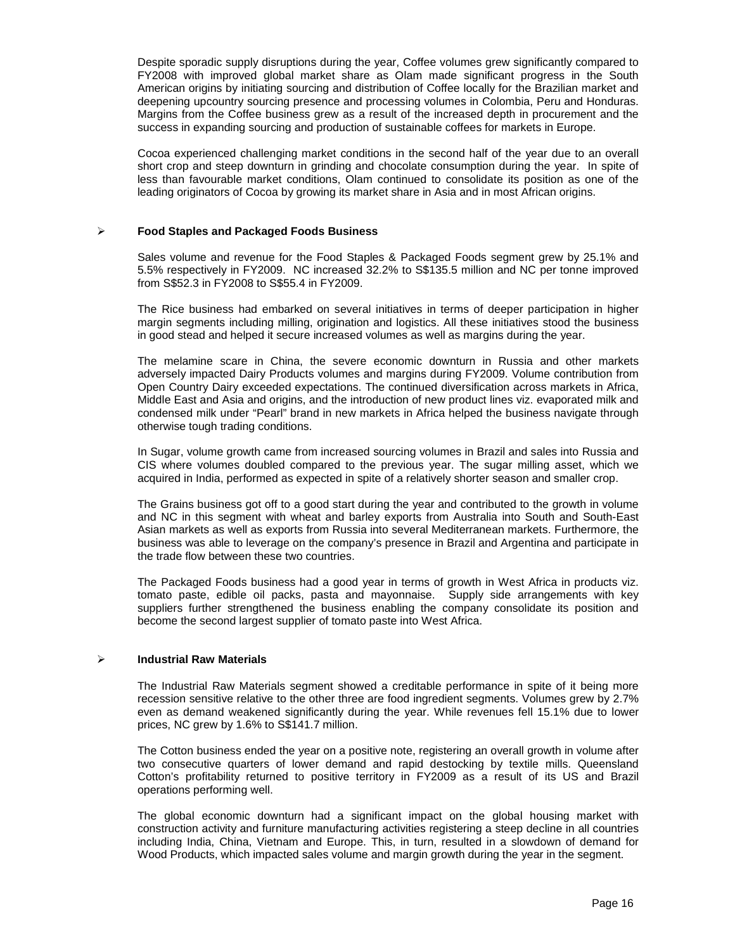Despite sporadic supply disruptions during the year, Coffee volumes grew significantly compared to FY2008 with improved global market share as Olam made significant progress in the South American origins by initiating sourcing and distribution of Coffee locally for the Brazilian market and deepening upcountry sourcing presence and processing volumes in Colombia, Peru and Honduras. Margins from the Coffee business grew as a result of the increased depth in procurement and the success in expanding sourcing and production of sustainable coffees for markets in Europe.

Cocoa experienced challenging market conditions in the second half of the year due to an overall short crop and steep downturn in grinding and chocolate consumption during the year. In spite of less than favourable market conditions, Olam continued to consolidate its position as one of the leading originators of Cocoa by growing its market share in Asia and in most African origins.

## **Food Staples and Packaged Foods Business**

Sales volume and revenue for the Food Staples & Packaged Foods segment grew by 25.1% and 5.5% respectively in FY2009. NC increased 32.2% to S\$135.5 million and NC per tonne improved from S\$52.3 in FY2008 to S\$55.4 in FY2009.

The Rice business had embarked on several initiatives in terms of deeper participation in higher margin segments including milling, origination and logistics. All these initiatives stood the business in good stead and helped it secure increased volumes as well as margins during the year.

The melamine scare in China, the severe economic downturn in Russia and other markets adversely impacted Dairy Products volumes and margins during FY2009. Volume contribution from Open Country Dairy exceeded expectations. The continued diversification across markets in Africa, Middle East and Asia and origins, and the introduction of new product lines viz. evaporated milk and condensed milk under "Pearl" brand in new markets in Africa helped the business navigate through otherwise tough trading conditions.

In Sugar, volume growth came from increased sourcing volumes in Brazil and sales into Russia and CIS where volumes doubled compared to the previous year. The sugar milling asset, which we acquired in India, performed as expected in spite of a relatively shorter season and smaller crop.

The Grains business got off to a good start during the year and contributed to the growth in volume and NC in this segment with wheat and barley exports from Australia into South and South-East Asian markets as well as exports from Russia into several Mediterranean markets. Furthermore, the business was able to leverage on the company's presence in Brazil and Argentina and participate in the trade flow between these two countries.

The Packaged Foods business had a good year in terms of growth in West Africa in products viz. tomato paste, edible oil packs, pasta and mayonnaise. Supply side arrangements with key suppliers further strengthened the business enabling the company consolidate its position and become the second largest supplier of tomato paste into West Africa.

## **Industrial Raw Materials**

The Industrial Raw Materials segment showed a creditable performance in spite of it being more recession sensitive relative to the other three are food ingredient segments. Volumes grew by 2.7% even as demand weakened significantly during the year. While revenues fell 15.1% due to lower prices, NC grew by 1.6% to S\$141.7 million.

The Cotton business ended the year on a positive note, registering an overall growth in volume after two consecutive quarters of lower demand and rapid destocking by textile mills. Queensland Cotton's profitability returned to positive territory in FY2009 as a result of its US and Brazil operations performing well.

The global economic downturn had a significant impact on the global housing market with construction activity and furniture manufacturing activities registering a steep decline in all countries including India, China, Vietnam and Europe. This, in turn, resulted in a slowdown of demand for Wood Products, which impacted sales volume and margin growth during the year in the segment.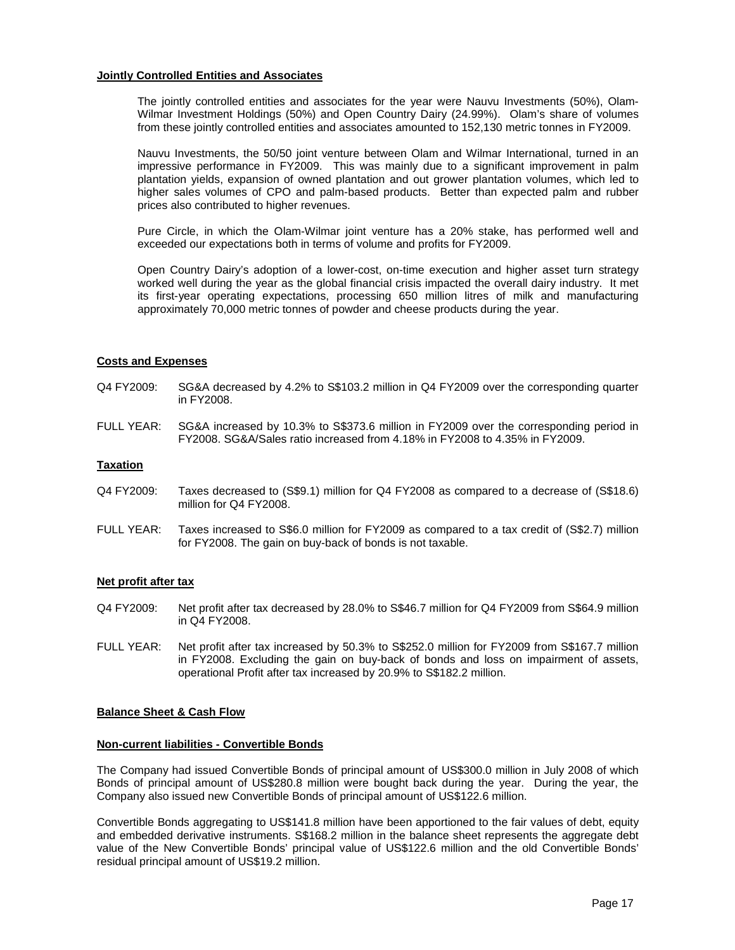## **Jointly Controlled Entities and Associates**

The jointly controlled entities and associates for the year were Nauvu Investments (50%), Olam-Wilmar Investment Holdings (50%) and Open Country Dairy (24.99%). Olam's share of volumes from these jointly controlled entities and associates amounted to 152,130 metric tonnes in FY2009.

Nauvu Investments, the 50/50 joint venture between Olam and Wilmar International, turned in an impressive performance in FY2009. This was mainly due to a significant improvement in palm plantation yields, expansion of owned plantation and out grower plantation volumes, which led to higher sales volumes of CPO and palm-based products. Better than expected palm and rubber prices also contributed to higher revenues.

Pure Circle, in which the Olam-Wilmar joint venture has a 20% stake, has performed well and exceeded our expectations both in terms of volume and profits for FY2009.

Open Country Dairy's adoption of a lower-cost, on-time execution and higher asset turn strategy worked well during the year as the global financial crisis impacted the overall dairy industry. It met its first-year operating expectations, processing 650 million litres of milk and manufacturing approximately 70,000 metric tonnes of powder and cheese products during the year.

### **Costs and Expenses**

- Q4 FY2009: SG&A decreased by 4.2% to S\$103.2 million in Q4 FY2009 over the corresponding quarter in FY2008.
- FULL YEAR: SG&A increased by 10.3% to S\$373.6 million in FY2009 over the corresponding period in FY2008. SG&A/Sales ratio increased from 4.18% in FY2008 to 4.35% in FY2009.

### **Taxation**

- Q4 FY2009: Taxes decreased to (S\$9.1) million for Q4 FY2008 as compared to a decrease of (S\$18.6) million for Q4 FY2008.
- FULL YEAR: Taxes increased to S\$6.0 million for FY2009 as compared to a tax credit of (S\$2.7) million for FY2008. The gain on buy-back of bonds is not taxable.

#### **Net profit after tax**

- Q4 FY2009: Net profit after tax decreased by 28.0% to S\$46.7 million for Q4 FY2009 from S\$64.9 million in Q4 FY2008.
- FULL YEAR: Net profit after tax increased by 50.3% to S\$252.0 million for FY2009 from S\$167.7 million in FY2008. Excluding the gain on buy-back of bonds and loss on impairment of assets, operational Profit after tax increased by 20.9% to S\$182.2 million.

#### **Balance Sheet & Cash Flow**

## **Non-current liabilities - Convertible Bonds**

The Company had issued Convertible Bonds of principal amount of US\$300.0 million in July 2008 of which Bonds of principal amount of US\$280.8 million were bought back during the year. During the year, the Company also issued new Convertible Bonds of principal amount of US\$122.6 million.

Convertible Bonds aggregating to US\$141.8 million have been apportioned to the fair values of debt, equity and embedded derivative instruments. S\$168.2 million in the balance sheet represents the aggregate debt value of the New Convertible Bonds' principal value of US\$122.6 million and the old Convertible Bonds' residual principal amount of US\$19.2 million.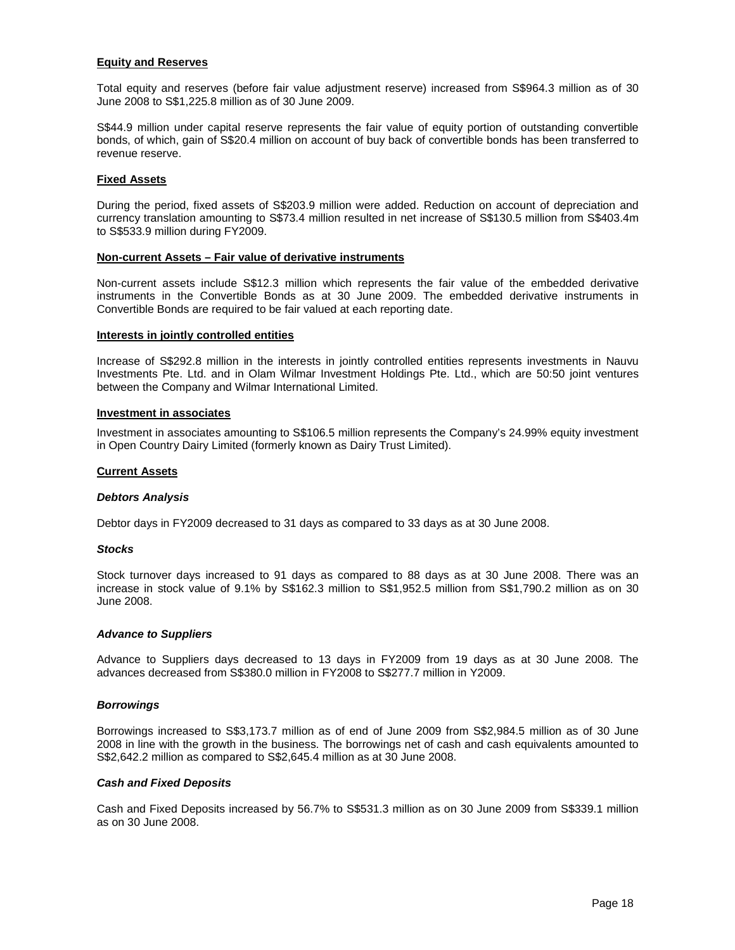## **Equity and Reserves**

Total equity and reserves (before fair value adjustment reserve) increased from S\$964.3 million as of 30 June 2008 to S\$1,225.8 million as of 30 June 2009.

S\$44.9 million under capital reserve represents the fair value of equity portion of outstanding convertible bonds, of which, gain of S\$20.4 million on account of buy back of convertible bonds has been transferred to revenue reserve.

## **Fixed Assets**

During the period, fixed assets of S\$203.9 million were added. Reduction on account of depreciation and currency translation amounting to S\$73.4 million resulted in net increase of S\$130.5 million from S\$403.4m to S\$533.9 million during FY2009.

### **Non-current Assets – Fair value of derivative instruments**

Non-current assets include S\$12.3 million which represents the fair value of the embedded derivative instruments in the Convertible Bonds as at 30 June 2009. The embedded derivative instruments in Convertible Bonds are required to be fair valued at each reporting date.

### **Interests in jointly controlled entities**

Increase of S\$292.8 million in the interests in jointly controlled entities represents investments in Nauvu Investments Pte. Ltd. and in Olam Wilmar Investment Holdings Pte. Ltd., which are 50:50 joint ventures between the Company and Wilmar International Limited.

### **Investment in associates**

Investment in associates amounting to S\$106.5 million represents the Company's 24.99% equity investment in Open Country Dairy Limited (formerly known as Dairy Trust Limited).

## **Current Assets**

#### **Debtors Analysis**

Debtor days in FY2009 decreased to 31 days as compared to 33 days as at 30 June 2008.

#### **Stocks**

Stock turnover days increased to 91 days as compared to 88 days as at 30 June 2008. There was an increase in stock value of 9.1% by S\$162.3 million to S\$1,952.5 million from S\$1,790.2 million as on 30 June 2008.

#### **Advance to Suppliers**

Advance to Suppliers days decreased to 13 days in FY2009 from 19 days as at 30 June 2008. The advances decreased from S\$380.0 million in FY2008 to S\$277.7 million in Y2009.

#### **Borrowings**

Borrowings increased to S\$3,173.7 million as of end of June 2009 from S\$2,984.5 million as of 30 June 2008 in line with the growth in the business. The borrowings net of cash and cash equivalents amounted to S\$2,642.2 million as compared to S\$2,645.4 million as at 30 June 2008.

#### **Cash and Fixed Deposits**

Cash and Fixed Deposits increased by 56.7% to S\$531.3 million as on 30 June 2009 from S\$339.1 million as on 30 June 2008.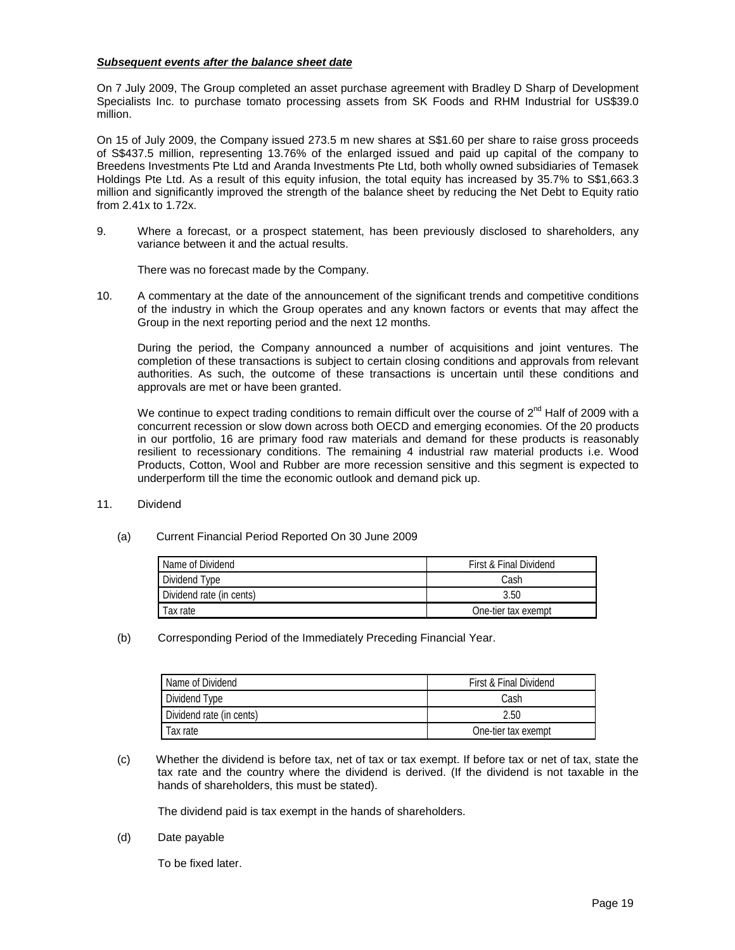# **Subsequent events after the balance sheet date**

On 7 July 2009, The Group completed an asset purchase agreement with Bradley D Sharp of Development Specialists Inc. to purchase tomato processing assets from SK Foods and RHM Industrial for US\$39.0 million.

On 15 of July 2009, the Company issued 273.5 m new shares at S\$1.60 per share to raise gross proceeds of S\$437.5 million, representing 13.76% of the enlarged issued and paid up capital of the company to Breedens Investments Pte Ltd and Aranda Investments Pte Ltd, both wholly owned subsidiaries of Temasek Holdings Pte Ltd. As a result of this equity infusion, the total equity has increased by 35.7% to S\$1,663.3 million and significantly improved the strength of the balance sheet by reducing the Net Debt to Equity ratio from 2.41x to 1.72x.

9. Where a forecast, or a prospect statement, has been previously disclosed to shareholders, any variance between it and the actual results.

There was no forecast made by the Company.

10. A commentary at the date of the announcement of the significant trends and competitive conditions of the industry in which the Group operates and any known factors or events that may affect the Group in the next reporting period and the next 12 months.

During the period, the Company announced a number of acquisitions and joint ventures. The completion of these transactions is subject to certain closing conditions and approvals from relevant authorities. As such, the outcome of these transactions is uncertain until these conditions and approvals are met or have been granted.

We continue to expect trading conditions to remain difficult over the course of  $2^{nd}$  Half of 2009 with a concurrent recession or slow down across both OECD and emerging economies. Of the 20 products in our portfolio, 16 are primary food raw materials and demand for these products is reasonably resilient to recessionary conditions. The remaining 4 industrial raw material products i.e. Wood Products, Cotton, Wool and Rubber are more recession sensitive and this segment is expected to underperform till the time the economic outlook and demand pick up.

# 11. Dividend

(a) Current Financial Period Reported On 30 June 2009

| Name of Dividend         | First & Final Dividend |  |  |
|--------------------------|------------------------|--|--|
| Dividend Type            | Cash                   |  |  |
| Dividend rate (in cents) | 3.50                   |  |  |
| Tax rate                 | One-tier tax exempt    |  |  |

(b) Corresponding Period of the Immediately Preceding Financial Year.

| Name of Dividend         | First & Final Dividend |  |  |  |
|--------------------------|------------------------|--|--|--|
| Dividend Type            | Cash                   |  |  |  |
| Dividend rate (in cents) | 2.50                   |  |  |  |
| Tax rate                 | One-tier tax exempt    |  |  |  |

(c) Whether the dividend is before tax, net of tax or tax exempt. If before tax or net of tax, state the tax rate and the country where the dividend is derived. (If the dividend is not taxable in the hands of shareholders, this must be stated).

The dividend paid is tax exempt in the hands of shareholders.

(d) Date payable

To be fixed later.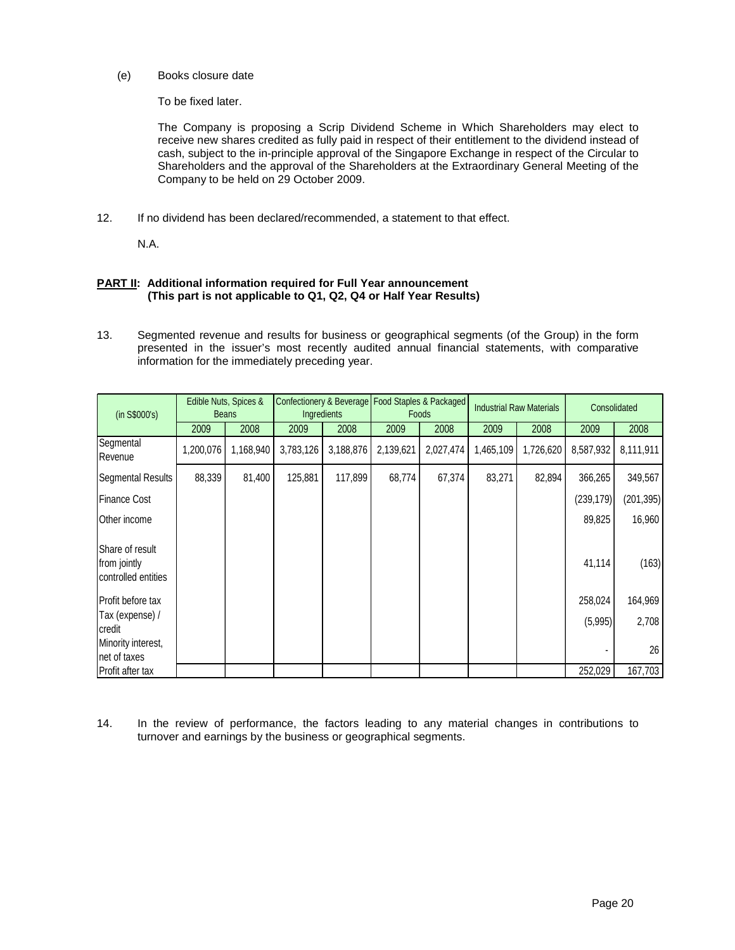(e) Books closure date

To be fixed later.

The Company is proposing a Scrip Dividend Scheme in Which Shareholders may elect to receive new shares credited as fully paid in respect of their entitlement to the dividend instead of cash, subject to the in-principle approval of the Singapore Exchange in respect of the Circular to Shareholders and the approval of the Shareholders at the Extraordinary General Meeting of the Company to be held on 29 October 2009.

12. If no dividend has been declared/recommended, a statement to that effect.

N.A.

# **PART II:** Additional information required for Full Year announcement  **(This part is not applicable to Q1, Q2, Q4 or Half Year Results)**

13. Segmented revenue and results for business or geographical segments (of the Group) in the form presented in the issuer's most recently audited annual financial statements, with comparative information for the immediately preceding year.

| (in S\$000's)                                          |           | Edible Nuts, Spices &<br><b>Beans</b> |           | Ingredients |           | Confectionery & Beverage Food Staples & Packaged<br><b>Foods</b> | <b>Industrial Raw Materials</b> |           | Consolidated |            |
|--------------------------------------------------------|-----------|---------------------------------------|-----------|-------------|-----------|------------------------------------------------------------------|---------------------------------|-----------|--------------|------------|
|                                                        | 2009      | 2008                                  | 2009      | 2008        | 2009      | 2008                                                             | 2009                            | 2008      | 2009         | 2008       |
| Segmental<br>Revenue                                   | 1,200,076 | 1,168,940                             | 3,783,126 | 3,188,876   | 2,139,621 | 2,027,474                                                        | 1,465,109                       | 1,726,620 | 8,587,932    | 8,111,911  |
| <b>Segmental Results</b>                               | 88,339    | 81,400                                | 125,881   | 117,899     | 68,774    | 67,374                                                           | 83,271                          | 82,894    | 366,265      | 349,567    |
| <b>Finance Cost</b>                                    |           |                                       |           |             |           |                                                                  |                                 |           | (239, 179)   | (201, 395) |
| Other income                                           |           |                                       |           |             |           |                                                                  |                                 |           | 89,825       | 16,960     |
| Share of result<br>from jointly<br>controlled entities |           |                                       |           |             |           |                                                                  |                                 |           | 41,114       | (163)      |
| Profit before tax                                      |           |                                       |           |             |           |                                                                  |                                 |           | 258,024      | 164,969    |
| Tax (expense) /<br>credit                              |           |                                       |           |             |           |                                                                  |                                 |           | (5,995)      | 2,708      |
| Minority interest.<br>net of taxes                     |           |                                       |           |             |           |                                                                  |                                 |           |              | 26         |
| Profit after tax                                       |           |                                       |           |             |           |                                                                  |                                 |           | 252,029      | 167,703    |

14. In the review of performance, the factors leading to any material changes in contributions to turnover and earnings by the business or geographical segments.